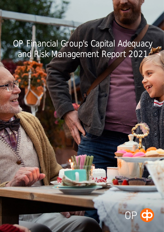# OP Financial Group's Capital Adequacy and Risk Management Report 2021

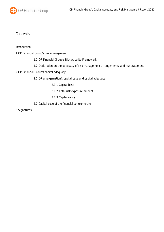

## **Contents**

#### Introduction

#### 1 OP Financial Group's risk management

- 1.1 OP Financial Group's Risk Appetite Framework
- 1.2 Declaration on the adequacy of risk management arrangements, and risk statement

#### 2 OP Financial Group's capital adequacy

2.1 OP amalgamation's capital base and capital adequacy

- 2.1.1 Capital base
- 2.1.2 Total risk exposure amount
- 2.1.3 Capital ratios
- 2.2 Capital base of the financial conglomerate

3 Signatures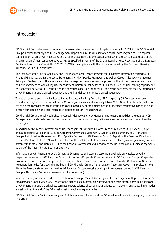

## Introduction

OP Financial Group discloses information concerning risk management and capital adequacy for 2021 in this OP Financial Group's Capital Adequacy and Risk Management Report and in OP Amalgamation capital adequacy tables. The reports contain information on OP Financial Group's risk management and the capital adequacy of the consolidated group of the amalgamation of member cooperative banks, as specified in Part 8 of the Capital Requirements Regulation of the European Parliament and of the Council No. 575/2013 (CRR) in compliance with the guidelines issued by the European Banking Authority, or Pillar III disclosures.

The first part of the Capital Adequacy and Risk Management Report presents the qualitative information related to OP Financial Group, i.e. the Risk Appetite Statement and Risk Appetite Framework as well as Capital Adequacy Management Principles, Declaration on the adequacy of risk management arrangements approved by the highest management body, and risk statement as well as key risk management indicators that describe OP Financial Group's risk-bearing capacity and risk appetite relative to OP Financial Group's operations and significant risks. The second part presents the key information on OP Financial Group's capital adequacy and the financial conglomerate's capital adequacy.

Tables based on standard tables issued by the European Banking Authority (EBA) regarding OP Amalgamation are published in English in Excel format in the OP Amalgamation capital adequacy tables 2021. Given that this information is based on the consolidated credit institution capital adequacy of the amalgamation of member cooperative banks, it is not directly comparable with other information disclosed on OP Financial Group.

OP Financial Group annually publishes its Capital Adequacy and Risk Management Report. In addition, the quarterly OP Amalgamation capital adequacy tables contain such information that regulation requires to be disclosed more often than once a year.

In addition to this report, information on risk management is included in other reports related to OP Financial Group's annual reporting. OP Financial Group's Corporate Governance Statement 2021 includes a summary of OP Financial Group's Risk Appetite Statement and Risk Appetite Framework. OP Financial Group's Report by the Board of Directors and Financial Statements for 2021 contains sections of the Risk Appetite Framework required by regulation governing financial statements (Note 2. and Notes 46–83 to the financial statements) and a review of the risk exposure of business segments as part of the Report by the Board of Directors.

Information on OP Financial Group's Corporate Governance and steering systems is available on websites covering respective issues (op.fi > OP Financial Group > About us > Corporate Governance) and in OP Financial Group's Corporate Governance Statement. A description of the remuneration schemes and practices can be found in OP Financial Group's Remuneration Policy for Governing Bodies and OP Financial Group's Remuneration Report for Governing Bodies, in Note 10 to the financial statements, as well as OP Financial Group's website dealing with remuneration (op.fi > OP Financial Group > About us > Corporate governance > Remuneration).

Information may remain undisclosed in OP Financial Group's Capital Adequacy and Risk Management Report and in the OP Amalgamation Capital Adequacy Report to the extent such information is irrelevant and their effect, if any, is insignificant on OP Financial Group's profitability, earnings power, balance sheet or capital adequacy. Irrelevant, undisclosed information is dealt with at the end of the OP Amalgamation capital adequacy tables.

OP Financial Group's Capital Adequacy and Risk Management Report and the OP Amalgamation capital adequacy tables are unaudited.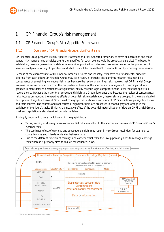

# 1 OP Financial Group's risk management

## 1.1 OP Financial Group's Risk Appetite Framework

## 1.1.1 Overview of OP Financial Group's significant risks

OP Financial Group prepares its Risk Appetite Statement and Risk Appetite Framework to cover all operations and these general risk management principles are further specified for each revenue logic (by product and service). The bases for establishing revenue generation models include services provided to customers, processes needed in the production of services, analyses reporting of operations and what risks will be caused to OP Financial Group by providing these services.

Because of the characteristics of OP Financial Group's business and industry, risks have two fundamental principles differing from each other: OP Financial Group may earn revenue through risks (earnings risks) or risks may be a consequence of something (consequential risks). Because the review of earnings risks requires that OP Financial Group examine critical success factors from the perspective of business, the sources and management of earnings risk are grouped in more detailed descriptions of significant risks by revenue logic, except for Group-level risks that apply to all revenue logics. Because the majority of consequential risks are Group-level ones and because the review of consequential risks focuses on reducing the negative effects of potential risk materialisation, these risks are grouped in the more detailed descriptions of significant risks at Group level. The graph below shows a summary of OP Financial Group's significant risks and their sources. The sources and root causes of significant risks are presented in shaded grey and orange in the periphery of the figure's table. Similarly, the negative effect of the potential materialisation of risks on OP Financial Group's trust and reputation is also described outside the table.

It is highly important to note the following in the graph's table:

- Taking earnings risks may cause consequential risks in addition to the sources and causes of OP Financial Group's external risks.
- The combined effect of earnings and consequential risks may result in new Group-level, due, for example, to concentrations and interdependencies between risks.
- Due to the different function of earnings and consequential risks, the Group primarily aims to manage earnings risks whereas it primarily aims to reduce consequential risks.



\* Counterparty of a financial contract or service provide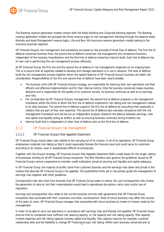

The Banking revenue generation models contain both the Retail Banking and Corporate Banking segment. The Banking revenue generation models are grouped into three revenue logics in risk management: Banking through the balance sheet, Markets and Asset Management revenue logics. Life and Non-life Insurance revenue generation models belong to the Insurance business segment.

OP Financial Group's risk management and compliance are based on the principle of three lines of defence. The first line of defence comprises business lines, the second line of defence comprises risk management and compliance functions independent of the business lines/divisions and the third line of defence comprises Internal Audit. Each line of defence has its own role in performing the risk management process efficiently.

At OP Financial Group, the first line and the second line of defence in risk management cooperate on an ongoing basis. This is to ensure that all expertise needed to develop and manage operations is in use in advance. The lines of defence build the risk management process together where the special features of OP Financial Group's business are taken into consideration. Responsibilities of the first and second lines of defence have been clearly divided.

- The business units fulfil OP Financial Group's strategy, are responsible for planning their own operations and their efficient and effective implementation and for their internal control. Only the business concerned makes business decisions and is responsible for the quality of its customer service, its business continuity as well as its earnings and risks.
- For consideration by OP Financial Group's management, the second line of defence prepares a risk management framework within the limits of which the first line of defence implements risk-taking and risk management related to its daily business. The second line of defence supports the first line of defence by consulting them especially in matters that are part of their own expertise. The second line of defence also oversees compliance with the risk management framework and carries out an independent analysis related to the balance between earnings, risks and capital and liquidity acting as buffers as well as ensuring business continuity during incidents too.
- Internal Audit that is independent of other lines of defence acts as the third line of defence.

## 1.1.2 OP Financial Group's risk management

#### 1.1.2.1 OP Financial Group's Risk Appetite Statement

OP Financial Group mainly takes risks related to the carrying out of its mission. In all of its operations, OP Financial Group emphasises moderate risk-taking so that it could reasonably foresee the financial result and could serve its customers according to its mission, even in exceptionally difficult circumstances.

Together with the Group's strategy, OP Financial Group's Risk Appetite Statement (RAS) create bases for the target-setting of businesses, binding on all OP Financial Group companies. The RAS therefore also governs the guidelines issued by OP Financial Group's central cooperative to member credit institutions aimed at securing and liquidity and capital adequacy.

In OP Financial Group, the majority of profits come from customer business and the earnings risks taken and priced in this context that describe OP Financial Group's risk appetite. The quantitative limits set in risk policies guide the management of earnings risks together with other guidelines.

Consequential risks also arise from business that OP Financial Group seeks to reduce. No such consequential risks involve the generation of returns, but their materialisation would lead to operational disruptions, extra costs and/or loss of reputation.

Earnings and consequential risks relate to the current business and the valid agreements that OP Financial Group companies have concluded with their customers and other counterparties. Risks of future business may affect the success of the years to come. OP Financial Group manages risks associated with future business by means of choices made by the management.

In order to be able to carry out operations in accordance with earnings risks and thereby risk appetite, OP Financial Group ensures that its companies have sufficient risk-bearing capacity, or risk capacity and risk-taking capacity. Risk capacity involves expertise and risk-taking capacity involves capital and liquidity. Risk capacity requires, for example, customer relationship skills and the flexibility to change OP Financial<sub>/</sub>Group's risk-taking. Within each business concerned and at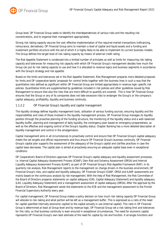

Group level, OP Financial Group seeks to identify the interdependencies of various risks and the resulting risk concentrations, and to organise their management appropriately.

Strong risk-taking capacity secures the cost-effective implementation of the required market transactions (refinancing, reinsurance, derivatives). OP Financial Group aims to maintain a level of capital and liquid assets and a funding and investment portfolio structure with the aid of which it is highly likely to be able to implement its current business models. The Group defines the target level of risk-taking capacity by means of external credit rating.

The Risk Appetite Statement is condensed into a limited number of principles as well as limits for measuring risk-taking capacity and tolerances for measuring risk capacity with which OP Financial Group's management decides how much the Group can put its risk-taking capacity to use and how it is allocated to revenue logics and business segments in accordance with the Group's strategy and risk appetite.

Based on the limits and tolerances set in the Risk Appetite Statement, Risk Management prepares more detailed proposals for limits and OP cooperative banks' proposals for control limits together with the business lines in such a way that the quantitative risks defined as significant within OP Financial Group are limited appropriately in revenue logic-specific risk policies. Quantitative limits are supplemented by guidelines included in risk policies and other guidelines issued by Risk Management to ensure that also the risks that are more difficult to quantify are covered. This is how OP Financial Group ensures that the Group or any of its companies does not take excessive risks to endanger the Group's or the company's capital adequacy, profitability, liquidity and business continuity.

#### 1.1.2.2 OP Financial Group's liquidity and capital management

The liquidity strategy defines liquidity management tools, utilisation of various funding sources, ensuring liquidity and the responsibilities and roles of those involved in the liquidity management process. OP Financial Group manages its liquidity position through the proactive planning of the funding structure, the monitoring of the liquidity status and a well-balanced liquidity buffer, planning and management of daily liquidity, the contingency plan based on emergency preparedness, as well as the effective and ongoing control of the Group's liquidity status. Chapter Banking has a more detailed description of liquidity management and control in the amalgamation.

Capital management aims in all circumstances to proactively control and ensure that OP Financial Group's capital adequacy meets the set targets and official requirements and thus ensure OP Financial Group's business continuity. OP Financial Group's capital plan supports the assessment of the adequacy of the Group's capital and clarifies practices in case the capital base decreases. The capital plan is aimed at proactively ensuring an adequate capital base even in exceptional conditions.

OP Cooperative's Board of Directors approves OP Financial Group's capital adequacy and liquidity assessment processes, i.e. Internal Capital Adequacy Assessment Process (ICAAP), Own Risk and Solvency Assessment (ORSA) and Internal Liquidity Adequacy Assessment Process (ILAAP), as part of OP Financial Group's Risk Appetite Framework (RAF). In its quarterly risk analysis, Risk Management reports to the management on change drivers in the business environment, OP Financial Group's risks, and capital and liquidity adequacy. OP Financial Group's ICAAP, ORSA and ILAAP assessments are mainly based on the continuous analysis by risk management. With the help of Risk Management, the Risk Committee of the Board of Directors prepares statements on capital adequacy (CAS, Capital Adequacy Statement) and liquidity adequacy (LAS, Liquidity Adequacy Statement) and a management assessment of capital adequacy (ORSA). After the approval by the Board of Directors, Risk Management sends the statements to the ECB and the management assessment to the Finnish Financial Supervisory Authority every year.

For capital management, OP Financial Group makes a policy decision on how much risk-taking capacity OP Financial Group will allocate to risk-taking and what portion will be left as a management buffer. This is expressed as a ratio of the need for capital specified internally (economic capital) to the capital actually in use (internal capital). This ratio in OP Financial Group is determined at least at Group level and by revenue logic. OP Financial Group set a risk-taking limit and tolerances for this ratio, so that business continuity is even ensured in exceptional circumstances. The need for economic capital represents OP Financial Group's own best estimate of the need for capital by risk and function. It arranges functions and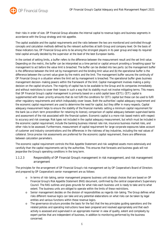

their risks in order of size. OP Financial Group allocates the internal capital to revenue logics and business segments in accordance with the Group strategy and risk appetite.

The capital available and the capital requirements and the ratio between the two are monitored and controlled through concepts and calculation methods defined by the relevant authorities at both Group and company level. On the basis of these indicators too, OP Financial Group aims to be among the strongest players in its peer group and keep its required total capital annually decided by the supervisor at the level of the best European banks.

In the context of setting limits, a buffer refers to the difference between the measurement result and the set limit value. Depending on the metric, the buffer can be interpreted as a time period or capital amount providing a 'breathing space' for management to act before the value limit is breached. The buffer can be divided into two parts: (a) the management buffer is the difference between the limit set by management and the binding limit value and (b) the operational buffer is the difference between the current value given by the metric and the limit. The management buffer secures the continuity of OP Financial Group in a situation where the limit set by management is breached. The operational buffer gives business management decision-making powers within the framework of the limit. Capital management involves making a policy decision on the capital structure. The majority of capital has to be available to the Group and its companies immediately and without restrictions to cover their losses in such a way that its stability must not involve mitigating terms. This means that OP Financial Group's capital management is primarily based on a solid capital base (CET1). CET1 capital is supplemented with lower-priority amounts that do not fulfil the conditions for CET1 capital but these can be used to fulfil other regulatory requirements and which indisputably cover losses. Both the authorities' capital adequacy requirement and the economic capital requirement are used to determine the need for capital, but they differ in many respects. Capital adequacy measurement helps to ensure the stability of the financial markets: setting a minimum capital requirement for the bank (as a short-term precondition for retaining its licence), comparison of capital adequacy between supervised banks and assessment of the risk associated with the financial system. Economic capital is a more risk-based metric with respect to accuracy and risk coverage. Risk types not included in the capital adequacy measurement, but which must be included in the economic capital requirement, include the banking business interest rate risk, insurance business market risks, and other risks to be assessed. Furthermore, measurement of capital requirement for large corporate exposures takes account of customer and industry concentrations and the differences in the riskiness of key industries, including the real values of collateral. Since precise risk assessments are preferred for the economic capital requirement, there are differences between calculation parameters.

The economic capital requirement controls the Risk Appetite Statement and risk-weighted assets more extensively and carefully than the capital requirements set by the authorities. This ensures that forecasts and business goals will not jeopardise the Group's operating conditions in the long term.

#### 1.1.2.3 Responsibility of OP Financial Group's management in risk management, and risk management arrangement

The principles for the arrangement of OP Financial Group's risk management set by OP Cooperative's Board of Directors and prepared by OP Cooperative's senior management are as follows:

- o In terms of risk-taking, senior management prepares business unit strategic choices that are based on OP Financial Group's Risk Appetite Statement (RAS) document, confirmed by the central cooperative's Supervisory Council. The RAS outlines and gives grounds for what risks each business unit is ready to take and to what extent. The business units are obliged to operate within the limits of these restrictions.
- o Senior management decides on the division of responsibilities as regards risk-taking. The Group defines what risks different revenue logics can take and any potential elaborations on what risks can be taken by legal entities and various functions within these revenue logics.
- o The governance structure provides the basis for the fact that the key principles guiding operations and the related policies and operating instructions have been prepared and resolved appropriately and that each activity is assessed and supervised in an appropriate manner in view of quality, extent and complexity by expert parties that are independent of business, in addition to monitoring performed by the business concerned.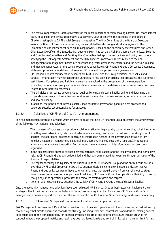

- o The central cooperative's Board of Directors is the most important decision-making body for risk management tasks. In addition, the central cooperative's Supervisory Council confirms the decisions by the Board of Directors that apply to OP Financial Group's risk appetite. The Risk Committee of the Board of Directors assists the Board of Directors in performing duties related to risk-taking and risk management. The Committee has no independent decision-making powers. Based on the decision by the President and Group Chief Executive Officer, the Executive Management Team has set up a Risk Management Committee, Steering and Compliance Committee and Banking ALM Committee that approve instructions and policy descriptions specifying the Risk Appetite Statement and the Risk Appetite Framework. Duties related to the risk management of management bodies are described in greater detail in the charters and the decision-making and management system of the central cooperative consolidated. OP Financial Group's Corporate Governance Statement provides more detailed information OP Financial Group's corporate governance.
- o OP Financial Group's remuneration schemes are built in line with the Group's mission, core values and targets. Remuneration may not encourage unnecessary risk-taking or actions that are against the customer's best interest. Compliance and Risk Management are involved in the preparation of the remuneration principles, remuneration policy and remuneration schemes and in the determination of supervisory practices related to remuneration processes.
- o The principles of corporate governance as required by joint and several liability define and determine the corporate governance of the central cooperative and its member cooperative banks, as required under joint and several liability.
- o In addition, the principles of internal control, good corporate governance, good business practices and corporate security set preconditions for practices.

#### 1.1.2.4 Objectives of OP Financial Group's risk management

The risk management process is a whole which involves all tasks that help OP Financial Group to ensure the achievement of the following risk management objectives:

- o The processes of business units provide a solid foundation for high-quality customer service, but at the same time they are cost-efficient, reliable and, whenever necessary, can be quickly restored to working order. In addition, the operational processes generate all information needed in the performance of tasks in key functions (customer management, sales, risk management, finances, regulatory reporting), in functional analysis and management reporting. Furthermore, the management of this information has been duly organised.
- o In the business units, there is balance between earnings, risks, capital and the liquidity buffer, and cumulative risks at OP Financial Group can be identified and they can be managed, for example, through principles of the division of responsibilities.
- o The capital adequacy and liquidity of the business units of OP Financial Group and the entire Group are at a level that OP Financial Group can make all its business decisions completely independently. Nor has OP Financial Group or its companies have other commitments that would prevent from carrying out strategybased measures, at least for a longer time. In addition, OP Financial Group has operational flexibility to quickly enough adjust its operational processes to achieve its strategic goals and targets.
- o No internal or external party questions the validity of OP Financial Group's joint and several liability.

Once the above risk management objectives have been achieved, OP Financial Group's businesses can implement their strategy without the internal or external factors hindering business significantly. This is how OP Financial Group's risk management processes support for their part the implementation of OP Financial Group's strategy and related monitoring.

#### 1.1.2.5 OP Financial Group's risk management methods and implementation

Risk Management prepares the RAS and RAF as well as risk policies in cooperation with the business concerned tailored by revenue logic that directs operations towards the strategy, including risk limits, control limits and decision-making powers to be submitted to the competent body for decision. Proposals for limits and control limits must include grounds for concluding how the proposed metrics and level have been achieved. Limits and control limits set a maximum limit for risk-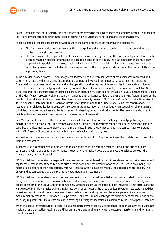

taking. Exceeding the limit or control limit or a threat of the exceeding the limit triggers an escalation procedure. If need be, Risk Management arranges other more detailed operating instructions for risk-taking and risk management.

As far as possible, the instructions framework must at the same time meet the following two conditions:

- The framework guides business towards the strategy, limits risk-taking according to risk appetite and fosters prudent and careful practices; and
- The framework makes it possible that business decisions deviating from the RAS and the risk policies that specify it can be made on justified grounds but to a limited extent. In such a case, the draft resolution must have been prepared with special care and reveal well-defined grounds for the deviations. The risk management guidelines must clearly reveal how such deviations are supervised by the appropriate body and what the responsibility of the supervisory body is.

In the risk identification process, Risk Management together with the representatives of the businesses concerned and other internal stakeholders assesses factors that are or may be involved in OP Financial Group's business and/or OP Financial Group's business environment and in the operations and exposures of its companies in the short- and longer term. This also involves identifying and assessing concentration risks within individual types of risk and cumulative Grouplevel risks and risk concentrations. In doing so, particular attention must be paid to changes in mutual dependencies. Based on the identification process, Risk Management maintains a list of identified risks and their underlying factors. Based on the results of the risk identification process, Risk Management annually presents OP Financial Group's most significant risks in its Risk Appetite Statement to the Board of Directors for decision and to the Supervisory Council for confirmation. The results of the risk identification process are also used in the preparation of risk policies when specifying risk management principles, measures, objectives and limits based on risk-bearing capacity and risk appetite. The results are also used to maintain the economic capital requirement and stress testing framework.

Risk Management determines the risk scorecards suitable for each function and analysing, quantifying, limiting and monitoring each function's risk. The methods and models used in risk measurement and the related needs for data are described and documented extensively and are implemented in such a way that various risks can be made consistent within OP Financial Group, to be comparable in terms of capital and liquidity needs.

Key methods and models are also validated before their implementation. The functioning of the models is monitored after their implementation.

In general, the risk management methods and models must be in line with the methods used in the pricing of each business and with those used in performance measurement to make it possible to analyse the balance between the financial result, risks and capital.

OP Financial Group uses risk management measurement models (internal models) it has developed for risk measurement, capital requirement assessment, business price determination and the determination of values used in accounting. The models take account of their compatibility with OP Financial Group's business model, risk appetite and risk profile. The Group and its companies share the related key parameters and assumptions.

OP Financial Group uses stress tests to assess how various serious, albeit potential, situations calibrated on a historical basis, and those differing from the assumptions of risk models, may affect the liquidity, risk exposure, profitability and capital adequacy of the Group and/or its companies. Stress tests assess the effect of both individual stress factors and the joint effect of multiple variables acting simultaneously. In stress testing, the Group utilises reverse stress tests, in addition to various sensitivity and scenario analyses. Stress tests support and supplement the whole picture given by other risk measurement methods of OP Financial Group's overall risk exposure and challenge the sufficiency of economic and capital adequacy requirement. Stress tests are aimed covering all risk types identified as significant in the Risk Appetite Statement.

When the above infrastructure is in place, a basis has been provided for daily operational risk management for businesses (customer and transaction-level risk identification, analysis and pricing and ongoing customer monitoring) and for internal operational control.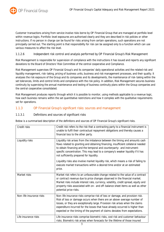

Customer transactions arising from service involve risks borne by OP Financial Group that are managed at portfolio level within revenue logics. Portfolio-level exposures are authorised clearly and they are described in risk policies or other instructions. If no person in charge can be found for risks arising from certain operations, such operations are not principally carried out. The starting point is that responsibility for risk can be assigned only to a function which can use various measures to affect the risk level.

#### 1.1.2.6 Independent risk control and analysis performed by OP Financial Group's Risk Management

Risk Management is responsible for supervision of compliance with the instructions it has issued and reports any significant deviations to the Board of Directors' Risk Committee of the central cooperative and Compliance.

Risk Management supervises OP Financial Group's and its companies' daily operational activities and the related risk and liquidity management, risk-taking, pricing of business units, business and risk management processes, and their quality. It analyses the risk exposure of the Group and its companies and its developments, the maintenance of risk-taking within the set tolerances, limits and control limits and compliance with the risk policy. In addition, Risk Management secures business continuity by supervising the annual maintenance and testing of business continuity plans within the Group companies and the central cooperative consolidated.

Risk Management produces reports through which it is possible to monitor, using methods applicable to a revenue logic, how each business remains within the set quantitative restrictions and how it complies with the qualitative requirements set for operations.

### 1.1.3 OP Financial Group's significant risks: sources and management

#### 1.1.3.1 Definitions and sources of significant risks

Below is a summarised description of the definitions and sources of OP Financial Group's significant risks.

| Credit risks             | Credit risk refers to the risk that a contracting party to a financial instrument is<br>unable to fulfil their contractual repayment obligations and thereby causes a<br>financial loss to the other party.                                                                                                                                                                                                |
|--------------------------|------------------------------------------------------------------------------------------------------------------------------------------------------------------------------------------------------------------------------------------------------------------------------------------------------------------------------------------------------------------------------------------------------------|
| Liquidity risks          | Liquidity risk arises from the imbalance between the timing and amounts cash<br>flows related to granting and obtaining financing, insufficient collateral needed<br>to obtain financing and the temporal and counterparty- and instrument-<br>specific concentration. This may lead to a company's weaker liquidity if it has<br>not sufficiently prepared for liquidity.                                 |
|                          | Liquidity risks also involve market liquidity risk, which means a risk of failing to<br>execute market transactions within a desired time and/or at an estimated<br>price.                                                                                                                                                                                                                                 |
| Market risks             | Market risk refers to an unfavourable change related to the value of a contract<br>or contract revenue due to price changes observed in the financial market.<br>Market risks include interest rate, currency, volatility, credit spread, equity and<br>property risks associated with on- and off-balance sheet items as well as other<br>potential price risks.                                          |
| Non-life insurance risks | Non-life insurance risks comprise risk of loss or damage, and provision risk.<br>Risk of loss or damage occurs when there are an above-average number of<br>losses, or they are exceptionally large. Provision risk arises when the claims<br>expenditure incurred for the losses that have already occurred is higher than<br>expected or the timing of the payment of claims deviates from expectations. |
| Life insurance risks     | Life insurance risks comprise biometric risks, cost risk and customer behaviour<br>risks. Biometric risk arises when forecasts for the lifetime of those insured                                                                                                                                                                                                                                           |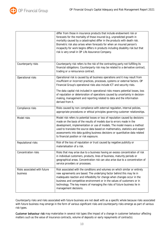

|                                          | differ from those in insurance products that include endowment risk or<br>forecasts for the mortality of those insured (e.g. unpredicted growth in<br>mortality caused by a catastrophe) differ in the products with death risk.<br>Biometric risk also arises when forecasts for when an insured person's<br>incapacity for work begins differs in products including disability risk but that<br>risk is very small in OP Life Assurance Company. |
|------------------------------------------|-----------------------------------------------------------------------------------------------------------------------------------------------------------------------------------------------------------------------------------------------------------------------------------------------------------------------------------------------------------------------------------------------------------------------------------------------------|
| Counterparty risks                       | Counterparty risk refers to the risk of the contracting party not fulfilling its<br>financial obligations. Counterparty risk may be related to a derivative contract,<br>trading or a reinsurance contract.                                                                                                                                                                                                                                         |
| Operational risks                        | Operational risk is caused by all business operations and it may result from<br>insufficient or incorrect practices, processes, systems or external factors. OP<br>Financial Group's operational risks also include ICT and security risks.                                                                                                                                                                                                         |
|                                          | The data capital risk included in operational risks means potential losses, loss<br>of reputation or deterioration of operations caused by uncertainty in decision-<br>making, management and reporting related to data and the information<br>derived from it.                                                                                                                                                                                     |
| Compliance risks                         | Risks caused by non-compliance with external regulation, internal policies,<br>appropriate procedures or ethical principles governing customer relationships.                                                                                                                                                                                                                                                                                       |
| Model risks                              | Model risk refers to potential losses or loss of reputation caused by decisions<br>made on the basis of the results of models due to errors made in the<br>development, implementation or use of models. The model means a method<br>used to translate the source data based on mathematics, statistics and expert<br>assessments into data guiding business decisions or quantitative data related<br>to financial position or risk exposure.      |
| Reputational risks                       | Risk of the loss of reputation or trust caused by negative publicity or<br>materialisation of a risk.                                                                                                                                                                                                                                                                                                                                               |
| Concentration risks                      | Risks that may arise due to a business having an excess concentration of risk<br>in individual customers, products, lines of business, maturity periods or<br>geographical areas. Concentration risk can also arise due to a concentration of<br>service providers or processes.                                                                                                                                                                    |
| Risks associated with future<br>business | Risk associated with the conditions and volumes on which similar or entirely<br>new agreements are based. The underlying factor behind this may lie in<br>inadequate reaction and inflexibility for change when changes occur in the<br>business and competitive environment or in the values of customers or in<br>technology. The key means of managing the risks of future business lie in<br>management decisions.                              |

Counterparty risks and risks associated with future business are not dealt with as a specific whole because risks associated with future business may emerge in the form of various significant risks and counterparty risks emerge as part of various risk types.

Customer behaviour risk may materialise in several risk types (the impact of a change in customer behaviour affecting matters such as the value of insurance contracts, volume of deposits or early repayments of contracts).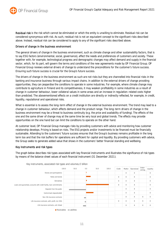

Residual risk is the risk which cannot be eliminated or which the entity is unwilling to eliminate. Residual risk can be considered synonymous with risk. As such, residual risk is not an equivalent concept to the significant risks described above. Instead, residual risk can be considered to apply to any of the significant risks described above.

#### Drivers of change in the business environment

The general drivers of change in the business environment, such as climate change and other sustainability factors, that is to say ESG factors (environmental, social, governance), affect the needs and preferences of customers and society. These together with, for example, technological progress and demographic changes may affect demand and supply in the financial sector, which, for its part, will govern the terms and conditions of the new agreements made by OP Financial Group. OP Financial Group reviews external drivers of change to understand the preconditions for the customer's future success. Ensuring such future success is crucial for the Group's future success.

The drivers of change in the business environment as such are not risks but they are channelled into financial risks in the banking and insurance business through various impact chains. In addition to the external drivers of change providing opportunities, they can jeopardise the conditions to operate in some industries. For example, where climate change may contribute to agriculture in Finland and its competitiveness, it may weaken profitability in some industries as a result of change in customer behaviour, lower collateral values in some areas and an increase in regulation-related costs higher than predicted. The abovementioned effects on a credit institution are directly or indirectly reflected, for example, in credit, liquidity, reputational and operational risks.

What is essential is to assess the long-term effect of change in the external business environment. The trend may lead to a change in customer behaviour, which affects demand and the product range. The long-term drivers of change in the business environment may be a threat to business continuity (e.g. the price and availability of funding). The effects of the one and the same driver of change may at the same time be very local and global trends. The effects may provide opportunities on the one hand but can limit the conditions to operate on the other hand.

At customer level, OP Financial Group manages risks by providing customers with advice and monitoring how customer relationship develops. Pricing is based on risks. The ESG projects and/or investments to be financed must be financially sustainable. Attending to the customers' future success ensures that the Group's business remains profitable in the long term too and that the risk buffers for operations are sufficient for capital and liquidity. By providing customers with advice, the Group seeks to generate added value that shows in the customers' better financial standing and wellbeing.

#### Key instruments and risk types

The graph below describes risk types associated with key financial instruments and illustrates the significance of risk types by means of the balance sheet values of each financial instrument (31 December 2021).



11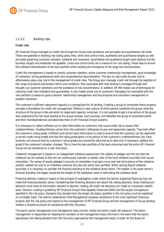

#### 1.1.3.2 Banking risks

#### Credit risks

OP Financial Group manages its credit risk through the Group-level guidelines and principles and quantitative risk limits. These are specified in Banking risk-taking policy lines, limits and control limits, qualitative and quantitative targets as well principles governing customer selection, collateral and covenants. Quantitative and qualitative target levels balance out the business targets and moderate risk appetite. Limits and control limits set a maximum for risk-taking. These help to ensure the sufficient diversification of the loan portfolio while avoiding the emergence of too large risk concentrations.

Credit risk management is based on careful customer selection, active customer relationship management, good knowledge of customers, strong professional skills and comprehensive documentation. The day-to-day credit process and its effectiveness play a key role in the management of credit risks. The Group also manages credit risk through the selection of the range of products and product terms and conditions. Risk associated with new lending is managed through well thought-out customer selections and the avoidance of risk concentrations. In addition, OP MB makes use of techniques for reducing credit risks (collateral and guarantees). It also makes active use of covenants. Managing risk associated with the loan portfolio is based on good customer relationship management and the proactive and consistent management of problem situations.

The customer's sufficient repayment capacity is a prerequisite for all lending. Creating a group of connected clients properly provides a foundation for credit risk management. Without a clear picture of which parties constitute the group, what the structure of the group is like and what its repayment capacity comprises, it is not possible to get a true picture of the group and understand the risk what lending to the group involves. Each business unit identifies the group of connected clients and their interdependencies and describes them in OP Financial Group's systems.

It is necessary to collect sufficient up-to-date information on customers that cause credit risk to assess their creditworthiness. Creditworthiness comes from the customer's willingness to pay and repayment capacity. They both affect the customer's rating grade. Sufficient and correct basic information is used to ensure that the customer can be rated with a correct credit rating model and that the rating grade gives a true picture of the customer's creditworthiness risk. Each business unit ensures that its customers' rating grades are constantly valid and up to date and, if necessary, updates the grade if the customer's situation changes*.* This is how the loan portfolio of the bank concerned and the entire OP Financial Group can be monitored on a real-time basis.

Collateral management is based on an independent collateral assessment, the validity of pledges and the fact that the collateral can be realised so that we can continuously maintain a realistic view of the hard collateral securities that secure receivables. The values of assets pledged in security of receivables must give a true and real-time picture of the collateral position related not only to an individual customer but also the entire loan portfolio. When valuing illiquid collateral securities, it is necessary to consider the financial standing of the collateral asset owner. The weaker is the asset owner's financial standing, the bigger should be the weight of the realisation value in estimating the collateral asset.

Financing decision-making is based on the principle of segregation under which the person preparing financing may not make the financing decision alone. Considering that financing decisions are about risk-taking decisions, those making such decisions must have all information relevant to decision-making. All credit risk decisions are made on a business-specific basis. Decision-making is guided by OP Financial Group's Risk Appetite Statement (RAS) and the target risk exposure specified in the risk policy. Decisions that deviate from the target risk status specified in the risk policy must be explained on a broader basis. The central cooperative's Risk Management assesses compliance of the most significant financing projects with the risk policy and reports to the management of OP Financial Group and the management of Group banking entities a situational picture of compliance with the risk policy.

The bank's senior management and management body monitor closely the bank's credit risk exposure. The bank's management is responsible for keeping the members of the management body informed in the event that the bank's operational risk-taking deviates from the risk policy approved by the management body, in order for the Board of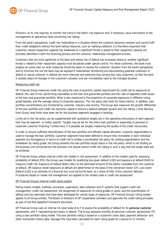

Directors, as its role requires, to monitor the trend in the bank's risk exposure and, if necessary, issue instructions to the management at operational level concerning risk-taking.

From the bank's perspective, credit risk materialises in a situation where the customer becomes insolvent and cannot fulfil their credit obligations without the bank taking measures, such as realising collateral. It is therefore important that customers whose repayment capacity has weakened or a significant threat is posed to their repayment capacity are promptly identified in both the financing process and the customer relationship management process.

Customers that are most significant to the bank and whose risk of default has increased clearly or another significant threat is related to their repayment capacity must be placed under special control. For these customers, the bank must prepare an action plan on what measures should be taken to resolve the customer' situation from the bank's perspective and to minimise the risk the bank may be exposed if materialised. Monitoring and documenting potential customers in default or actual customer in default are more intensive and extensive than among less risky customers, so that the bank is actively aware of changes in the customer's situation and can immediately react to the changed situation.

#### Measuring credit risk

OP Financial Group measures credit risk using the ratio of economic capital requirement for credit risk to exposures at default, the ratio of non-performing receivables to the loan and guarantee portfolio and the ratio of expected credit losses to the loan and guarantee portfolio. What is also measured is the proportion of corporate exposures in different rating grade baskets, and the average rating of corporate exposure*.* The risk policy sets limits for these metrics. In addition, loan portfolio concentrations are monitored by customer, industry and country. The Group also measures the growth differential of the loan portfolio and credit risk economic capital to ensure a balance between growth and risk-taking. Limits deriving from Group-level limits have been set for the business segments engaged in banking.

Limits set in the risk policy can be supplemented with qualitative targets set in the operating instructions of each segment that may be segment- or entity-specific. Targets may be set for the entire loan portfolio or separately to personal or corporate customer financing. Furthermore, it is possible set targets measuring the quality of the credit risk process.

In order to ensure sufficient diversification of the loan portfolio and efficient capital allocation, customer segmentation is used to manage the loan portfolio. Customer segments have been defined to ensure that receivables in each individual segment are homogenous in terms of credit risk to enable a coordinated risk policy. By utilising segmentation and the breakdown by rating grade, the Group presents the loan portfolio target status in the risk policy, which is not binding on the business unit concerned but the business unit should control credit risk-taking in such a way that the target state will be achieved.

OP Financial Group utilises internal credit risk models in risk assessment. In addition to the models used for assessing probability of default (PD), the Group uses models for predicting loss given default (LGD) and exposure at default (EAD) to measure credit risk. Exposure at Default (EAD) refers to the estimated amount of the bank's receivable from the customer at default. Off-balance-sheet exposures at default are determined on the basis of the conversion factor (CF). Loss Given Default (LGD) is an estimate of a financial loss incurred by the bank, as a share of EAD, if the customer defaults. Procedures based on model risk management are applied to the models used in credit risk assessment.

#### OP Financial Group's internal credit rating system

Rating means models, methods, processes, supervision, data collection and IT systems that support credit risk management, credit risk assessment, the assignment of exposures to rating grades or pools, and the quantification of default and loss estimates that have been developed for certain types of exposures. OP Financial Group's rating system applies to all Group entities. The Board of Directors of OP Cooperative considers and approves the credit rating principles as part of the Risk Appetite Framework document.

OP Financial Group uses an internal 16-level scale of A–F to assess the probability of default for its personal customer agreements, with F representing borrowers in default. The Group assesses monthly all personal customer agreements' PD using a loan portfolio rating model. The loan portfolio rating is based on a customer's basic data, payment behaviour and other transaction history data. Average PDs have been calculated for each rating grade for a period of 12 months.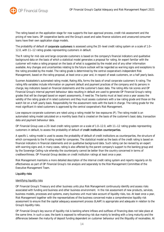

The rating based on the application stage for now supports the loan approval process, credit risk assessment and the pricing of new loans. OP cooperative banks and the Group's asset and sales finance solutions and unsecured consumer loans have their own application stage models.

The probability of default of corporate customers is assessed using the 20-level credit rating system on a scale of 1.0– 12.0, with 11–12 rating grades representing customers in default.

The R rating for mid-size and large corporate customers is based on the company's financial indicators and qualitative background data on the basis of which a statistical model generates a proposal for rating. An expert familiar with the customer will make a rating proposal on the basis of what is suggested by the model and of any other information available. Any changes and uncertainties relating to the future outlook will be regarded as warning signs and exceptions to the rating provided by the model. The rating grade is determined by the central cooperative's independent Risk Management, based on the rating proposal, at least once a year and, in respect of weak customers, on a half yearly basis.

Suomen Asiakatieto's automated rating model, Rating Alfa, forms the basis of small corporate customers' A rating. The rating Alfa variables include information on payment default and payment practices of the company and its persons in charge, key indicators based on financial statements and the customer's basic data. The rating Alfa risk scores and OP Financial Group's internal payment behaviour data resulting in default are used to generate OP Financial Group's rating grades that will be changed based on expert assessments, if need be. The banks must at least once a year assess the validity of the rating grade of A rated customers and they must assess customers with a low rating grade and those on the watch list on a half-yearly basis. Responsibility for the assessment rests with the bank in charge. The rating grade for the most significant A rated customers is approved by the central cooperative's Risk Management.

Low exposure corporate customers are rated using a rating model for low exposures (P). The rating model is an automated rating model calculated on a monthly basis that is created on the basis of the customer's basic data, transaction data and payment behaviour data.

OP Financial Group uses a 20-level credit rating system on a scale of 1.0–12.0, with 11–12 rating grades representing customers in default, to assess the probability of default of credit institution counterparties.

A specific L rating model is used to assess the probability of default of credit institutions as counterparties, the structure of which corresponds to the R rating model for companies. The statistical model as the basis of the credit rating is based on financial indicators in financial statements and on qualitative background data. Such rating can be revised by an expert with warning signs and, in many cases, rating is also affected by the parent company's support to the banking group and by the Sovereign Ceiling rule whereby the counterparty cannot be better than the country concerned in terms of creditworthiness. OP Financial Group decides on credit institution ratings at least once a year.

Risk Management maintains a more detailed description of the internal credit rating system and reports regularly on its effectiveness as part of OP Financial Group's risk analysis and separately to the Risk Management Committee of the Executive Management Team.

#### Liquidity risks

#### Identifying liquidity risks

OP Financial Group's Treasury and other business units plus Risk Management continuously identify and assess risks associated with funding and business and other business environment. In the risk assessment of new products, services, business models, processes and systems, every business unit must take account of liquidity risks, too. At least once a year, Risk Management together with the representatives of the business concerned make a comprehensive liquidity risk assessment to ensure that the capital adequacy assessment process (ILAAP) is appropriate and adequate in relation to the Group's liquidity risks.

OP Financial Group's key source of liquidity risk is banking where inflows and outflows of financing does not take place at the same time. In such a case, the bank is exposed to refinancing risk due mainly to lending with a long maturity and the differences between the maturity of deposit funding dependent on customer behaviour and the illiquidity of receivables. At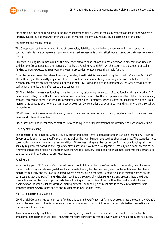

the same time, the bank is exposed to funding concentration risk as regards the counterparties of deposit and wholesale funding, availability and maturity of finance. Lack of market liquidity may reduce liquid assets held by the bank.

#### Assessment and measurement

The Group assesses the future cash flows of receivables, liabilities and off-balance-sheet commitments based on the contract maturity date or repayment programme, expert assessments or statistical models based on customer behaviour history.

Structural funding risk is measured on the difference between cash inflows and cash outflows in different maturities. In addition, the Group calculates the regulatory Net Stable Funding Ratio (NSFR) which determines the amount of stable funding sources expected to span over one year in proportion to assets requiring stable funding.

From the perspective of the relevant authority, funding liquidity risk is measured using the Liquidity Coverage Ratio (LCR). The sufficiency of the liquidity requirement in terms of time is assessed though maturing items on the balance sheet, wherein agreements are not renewed but ended at maturity. Based on a financial perspective, the Group measures the sufficiency of the liquidity buffer based on stress testing.

OP Financial Group measures funding concentration risk by calculating the amount of bond funding with a maturity of 12 months and rolling 3 months. In the time horizon of less than 12 months, the Group measures the total wholesale funding amount, comprising short- and long-term wholesale funding, for 3 months. When it comes to deposit funding, the Group monitors the concentration of the largest deposit volumes. Concentrations by counterparty and instrument are also subject to monitoring.

OP MB measures its asset encumbrance by proportioning encumbered assets to the aggregate amount of balance sheet assets and collateral securities.

Risk assessment and measurement methods related to liquidity buffer investments are described as part of market risks.

#### Liquidity stress testing

The adequacy of OP Financial Group's liquidity buffer and buffer items is assessed through various scenarios. OP Financial Group-specific and market-specific scenarios as well as their combination are used as stress scenarios. The scenarios must cover both short- and long-term stress conditions. When measuring member bank-specific structural funding risk, the liquidity requirement based on the regulatory stress scenario is counted as a deposit in Treasury on a bank-specific basis. A reverse stress test is used in connection with the Group's Recovery Plan. Senior management confirms the scenarios to be used, use and reporting of stress test results.

#### Funding plan

In its funding plan, OP Financial Group must take account of its member banks' estimate of the funding need for years to come. The funding plan defines guidelines for wholesale funding for the next few years. Implementation of the plan is monitored regularly and the plan is updated, where needed, during the year. Deposit funding is primarily based on the business strategy and plan. The funding plan specifies the sources of wholesale funding and presents how the Group covers its need for the most important wholesale funding sources in view of the depth of the market and sufficient diversification, as well as defines decision-making powers. The funding plan must also take account of unfavourable scenarios lasting several years and of abrupt changes in key funding items.

#### Non-euro liquidity management

OP Financial Group carries out non-euro funding due to the diversification of funding sources. Since almost all the Group's receivables are in euros, the Group mainly converts its non-euro funding into euros through derivative transactions in connection with an issue.

According to liquidity regulation, a non-euro currency is significant if non-euro liabilities account for over 5% of the amalgamation's balance sheet total. The Group monitors significant currencies every month when it produces its liquidity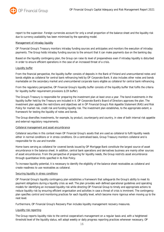

report to the supervisor. Foreign currencies account for only a small proportion of the balance sheet and the liquidity risk due to currency availability has been minimised by the operating model.

#### Management of intraday liquidity

OP Financial Group's Treasury monitors intraday funding sources and anticipates and monitors the execution of intraday payments. The Group holds intraday funding sources to the amount that it can make payments due on the banking day.

Based on the liquidity contingency plan, the Group can raise its level of preparedness even if intraday liquidity is disturbed in order to ensure efficient operations in the case of an increased threat of a crisis.

#### Liquidity buffer

From the financial perspective, the liquidity buffer consists of deposits in the Bank of Finland and unencumbered notes and bonds eligible as collateral for central bank refinancing held by OP Corporate Bank. It also includes other notes and bonds marketable on the secondary market and unencumbered corporate loans eligible as collateral for central bank refinancing.

From the regulatory perspective, OP Financial Group's liquidity buffer consists of the liquidity buffer that fulfils the criteria for liquidity buffer requirement provisions (LCR buffer).

The Group's Treasury is responsible for preparing the investment plan at least once a year. The bond investments in the liquidity buffer held by the Treasury are included in it. OP Corporate Bank's Board of Directors approves the plan. The investment plan applies the restrictions and objectives set in OP Financial Group's Risk Appetite Statement (RAS) and Risk Policy for market risk, credit risk and funding liquidity risk. The investment plan establishes, to the appropriate extent, a framework for testing the liquidity of notes and bonds.

The Group diversifies investments, for example, by product, counterparty and country, in view of both internal risk appetite and external regulatory requirements.

#### Collateral management and asset encumbrance

Collateral securities in this context mean OP Financial Group's assets that are used as collateral to fulfil liquidity needs either in normal conditions or in stress conditions. On a centralised basis, Group Treasury monitors collateral and is responsible for its use and transfer.

Home loans serving as collateral for covered bonds issued by OP Mortgage Bank constitute the largest source of asset encumbrance in the balance sheet. In addition, central bank operations and derivatives business are mainly other sources of asset encumbrance. From the perspective of preparing for liquidity needs, the Group restricts asset encumbrance through quantitative limits specified in its Risk Policy.

To increase liquidity potential, it is necessary to identify the eligibility of the balance sheet receivables as collateral and create readiness to use receivables as collateral.

#### Securing liquidity in stress conditions

OP Financial Group's liquidity contingency plan establishes a framework that safeguards the Group's ability to meet its payment obligations during a liquidity crisis as well. The plan provides well-defined operational guidelines and operating models for identifying an increased liquidity risk while directing OP Financial Group to timely and appropriate actions to reduce liquidity risk by ensuring efficient organisation and activities in case a threat of crisis is imminent. The contingency plan specifies control and monitoring practices for each liquidity level, which become more rigorous when moving up to the next level.

Furthermore, OP Financial Group's Recovery Plan includes liquidity management recovery measures.

#### Liquidity risk reporting

The Group reports liquidity risks to the central cooperative's management on a regular basis and, with a heightened threshold level of the liquidity status, will adopt weekly or daily progress reporting practices whenever necessary. OP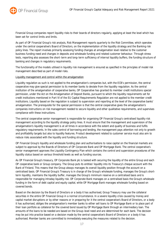

Financial Group companies report liquidity risks to their boards of directors regularly, applying at least the level which has been set for control limits and limits.

As part of OP Financial Group's risk analysis, Risk Management reports quarterly to the Risk Committee, which operates under the central cooperative's Board of Directors, on the implementation of the liquidity strategy and the Banking risk policy lines. The report involves primarily assessing funding changes at amalgamation level relative to the customer business funding need and changes in deposits and wholesale funding and related customer behaviour. Through stress tests, reporting also assesses the short-term and long-term sufficiency of internal liquidity buffers, the funding structure of banking and changes in regulatory requirements.

The functionality of the models utilised in liquidity risk management is ensured as specified in the principles of model risk management described as part of model risks.

Liquidity management and control within the amalgamation

Liquidity regulation as such is not applied to the amalgamation's companies but, with the ECB's permission, the central cooperative may give special permission to its member banks to deviate from the liquidity regulation. As the central institution of the amalgamation of cooperative banks, OP Cooperative has granted its member credit institutions special permission, under the Act on the Amalgamation of Deposit Banks, pursuant to which the liquidity requirements set for credit institutions mentioned in Part VI of the EU Capital Requirements Regulation are not applied to the member credit institutions. Liquidity based on the regulation is subject to supervision and reporting at the level of the cooperative banks' amalgamation. The prerequisite for the special permission is that the central cooperative gives the amalgamation's companies instructions on risk management needed to secure liquidity and other qualitative requirements, and supervises compliance with these instructions.

The central cooperative senior management is responsible for organising OP Financial Group's centralised liquidity risk management according to the liquidity strategy policy lines. It must ensure that the management and supervision of the amalgamation's liquidity management is at all times in accordance with the extent and quality of business and fulfils regulatory requirements. In the sales control of borrowing and lending, the management pays attention not only to growth and profitability targets but also to liquidity features. Product development related to customer service must also aim to reduce risks associated with the liquidity and funding structure.

OP Financial Group's liquidity and wholesale funding plan and authorisations to raise capital on the financial markets are subject to approval by the Boards of Directors of OP Corporate Bank and OP Mortgage Bank. The central cooperative's senior management approves the Liquidity Contingency Plan which contains the control and supervision procedures of the liquidity status based on various threshold levels as well as funding sources.

As OP Financial Group's treasury, OP Corporate Bank plc is tasked with securing the liquidity of the entire Group and each OP cooperative bank or Group company. The Group puts its entities' liquidity into its Treasury's cheque account with the Bank of Finland. This means that the Group always manages its overall liquidity position through the account on a centralised basis. OP Financial Group's Treasury is in charge of the Group's wholesale funding, manages the Group's shortterm liquidity, maintains the liquidity buffer, manages the Group's minimum reserve on a centralised basis and is responsible for managing intraday liquidity risk. OP Corporate Bank manages on a centralised basis the Group's wholesale funding in the form of debt capital and equity capital, while OP Mortgage Bank manages wholesale funding based on covered bonds.

Based on the decision by the Board of Directors or a body it has authorised, Group Treasury may use the collateral securities in the entire OP Financial Group in a normal circumstance. In a severe liquidity crisis caused by money and capital market disruptions or by other reasons or in preparing for it the central cooperative's Board of Directors, or a body it has authorised, obliges the amalgamation's member banks to either sell loans to OP Mortgage Bank or to place part of their loan portfolio as collateral for the covered bond issued by OP Mortgage Bank through an intermediary loan. The amounts of the loans to be needed are based on the Group-level need and are determined for each bank. The decision may be put into practice based on a decision made by the central cooperative's Board of Directors or a body it has authorised. Member banks are committed to immediately executing the measures related to the decision.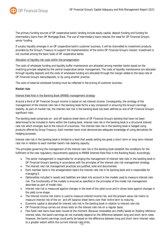The primary funding sources of OP cooperative banks' lending include equity capital, deposit funding and funding for intermediary loans from OP Mortgage Bank. The use of intermediary loans reduces the need for OP Financial Group's senior funding.

If surplus liquidity emerges in an OP cooperative bank's customer business, it will be channelled to investment products provided by the Group's Treasury to support the implementation of the entire OP Financial Group's mission. Investment is not counted among the basic tasks of OP cooperative banks.

#### Allocation of liquidity risk costs within the amalgamation

The costs of wholesale funding and liquidity buffer maintenance are allocated among member banks based on the matching principle adopted by the central cooperative senior management. The costs of liquidity maintenance are allocated through liquidity deposits and the costs of wholesale funding are allocated through the margin added to the base rate of OP Financial Group's loans/deposits, or by using another practice.

The costs of external wholesale funding must be reflected in the pricing of customer business.

#### Market risks

#### Interest Rate Risk in the Banking Book (IRRBB) management strategy

Around a third of OP Financial Group's income is based on net interest income. Consequently, the strategy of the management of the interest rate risk in the banking book forms a key component in ensuring the Group's earnings stability. As part of market risk, the interest rate risk in the banking book has been defined as one of OP Financial Group's significant risks.

The banking book comprises on- and off-balance sheet items of OP Financial Group's banking that have not been determined to be included in items within the trading book. Interest rate risk in the banking book is a structural interest rate risk which emerges due to the nature of a business. The interest rate risk in the banking book is hedged using products offered by Group Treasury. Each member bank must demonstrate adequate knowledge of using derivatives for hedging purposes.

Interest rate risk in the banking book is limited to a level that avoids setting too great a short-term or long-term interest rate risk in relation to each member bank's risk-bearing capacity.

The principles governing the management of the interest rate risk in the banking book establish the conditions for the fulfilment of the new regulatory requirements applying to IRRBB (Interest Rate Risk in the Banking Book). Accordingly:

- The senior management is responsible for arranging the management of interest rate risks in the banking book in OP Financial Group's banking in accordance with the principles of the interest rate risk management strategy*.*
- The interest rate risk management practices are justified, solid and documented*.*
- Each member bank in the amalgamation bears the interest rate risk in its banking book and is responsible for managing it.
- Optionalities included in assets and liabilities are taken into account in the models used to measure interest rate risk. The functionality of the models is ensured as specified in the principles of the model risk management described as part of model risks.
- Interest rate risk is measured against changes in the level of the yield curve and in stress tests against changes in the yield curve shape.
- The interest income risk metric is used to measure interest income risk, and the present value risk metric to measure interest risk of the on- and off-balance sheet items over their entire term to maturity.
- Economic capital is allocated for interest rate risk in the banking book in relation to interest rate risk.
- OP Financial Group carries out stress tests on the interest rate risk on a regular basis.
- Few fixed-rate loans have been issued at the moment. Because receivables are chiefly based on floating reference interest rates, the bank's earnings do not markedly depend on the difference between long and short-term rates. However, the bank's earnings could partly be based on the difference between long and short-term interest rates to a greater extent within the current interest rate limits.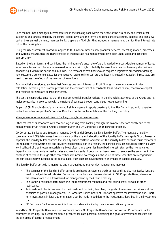

Each member bank manages interest rate risk in the banking book within the scope of the risk policy and limits, other guidelines and targets issued by the central cooperative, and the terms and conditions of accounts, deposits and loans. As part of their annual planning, member banks prepare an ALM plan that includes a management plan for their interest rate risk in the banking book.

Using the risk assessment procedure applied to OP Financial Group's new products, services, operating models, processes and systems ensures that the characteristics of interest rate risk management have been understood and described appropriately.

Based on the loan terms and conditions, the minimum reference rate of zero is applied to a considerable number of loans. In technical terms, zero floors are assessed to remain with high probability because there has not been any discussion on abandoning it within the sector and in public. The removal of zero floors would require a legislative amendment defining how customers are compensated for the negative reference interest rate and how it is treated in taxation. Stress tests are used to assess the effects of the removal of zero floors.

Equity capital is considered an item that finances business. Interest on Profit Shares is taken into account in risk calculation, according to customer promise and the contract rate of subordinate loans. Share capital, cooperative capital and retained earnings are all free of interest.

The central cooperative ensures that the interest rate risk transfer reflects in the financial statements of the Group and its major companies in accordance with the nature of business through centralised hedge accounting.

As part of OP Financial Group's risk analysis, Risk Management reports quarterly to the Risk Committee, which operates under the central cooperative's Board of Directors, on the implementation of the Banking risk policy.

#### Management of other market risks in Banking through the balance sheet

Other market risks associated with revenue logic arising from banking through the balance sheet are chiefly due to the management of OP Financial Group's liquidity buffer and OP Corporate Bank's portfolio of bonds.

OP Corporate Bank's Group Treasury manages OP Financial Group's banking liquidity buffer. The regulatory liquidity coverage ratio (LCR) determines the constraints on the size and allocation of the liquidity buffer. Alongside Group Treasury deposits, the liquidity buffer contains the liquidity buffer portfolio, and items in the liquidity buffer portfolio must conform to the regulatory creditworthiness and liquidity requirements. For this reason, the portfolio includes securities carrying a very low likelihood of credit losses materialising. Most often, these securities have fixed interest rates, so their value varies depending on movements in market rates and credit spreads. A decision has been taken to recognise the securities in the portfolio at fair value through other comprehensive income, so changes in the value of these securities are recognised in the fair value reserve included in the capital base. Such changes have therefore an impact on capital adequacy.

The liquidity buffer portfolio is monitored and managed using market risk management methods:

- The earnings of the liquidity buffer portfolio are based on covering credit spread and liquidity risk. Derivatives are used to hedge interest rate risk. Derivative transactions can be executed within OP Corporate Bank, whereupon the interest rate risk is transferred for management by the Group Treasury.
- The Banking risk policy determines the risk measurement methods and risk-taking limits, as well as other restrictions.
- An investment plan is prepared for the investment portfolio, describing the goals of investment activities and the principles of portfolio management. OP Corporate Bank's Board of Directors approves the investment plan. Shortterm investments in local authority papers can be made in addition to the investments described in the investment plan.
- OP Corporate Bank ensures sufficient portfolio diversification by means of restrictions by issuer.

In addition, OP Corporate Bank invests in corporate bonds. OP Corporate Bank's bond portfolio is OP Corporate Bank's equivalent to lending. An investment plan is prepared for each portfolio, describing the goals of investment activities and the principles of portfolio management.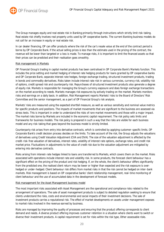

The Group manages equity and real estate risk in Banking primarily through instructions which strictly limit risk-taking. Real estate risk chiefly involves real property units used by OP cooperative banks. The current Banking business models do not call for an increase in equity or real estate risk.

In car dealer financing, OP can offer products where the risk of the car's resale value at the end of the contract period is borne by OP Corporate Bank. If the actual selling prices is less than the estimate used in the pricing of the contract, the revenue will be lower than targeted or a loss is made. To manage risks, it is important to limit the financed assets so that their prices can be predicted and their realisation goes smoothly.

#### Risk management in Markets

OP Financial Group's trading in capital market products has been centralised in OP Corporate Bank's Markets function. This includes the price setting and market hedging of interest rate hedging products for loans granted by OP cooperative banks and OP Corporate Bank, separate interest rate hedges, foreign exchange trading, structured investment products, trading in bonds and commodity derivatives. Risks taken include interest rate risk in various currencies, currency risk, volatility risk of options, credit spread risk and counterparty risk. Repurchases of structured investment products also generate a degree of equity risk. Markets is responsible for managing the Group's currency exposure and does foreign exchange transactions on the market according to needs. Markets manages risk exposures by actively trading on the market. Markets monitors risks and earnings on a daily basis. In addition, Risk Management reports Markets' risks to the Board of Directors' Risk Committee and the senior management, as a part of OP Financial Group's risk analysis.

Markets' risks are measured using the expected shortfall measure, as well as various sensitivity and nominal value metrics for specific products and positions. The impacts of market movements that are significant to the business are assessed via stress tests. This is important in order to understand the risks of rare market movements and those with a major impact. The market risks borne by Markets are included in the economic capital requirement. The risk policy sets limits and frameworks for business models. The risk policy is prepared in such a way that the risks are visible for each business model and any risk-taking that goes beyond the business model is strictly limited.

Counterparty risk arises from entry into derivative contracts, which is controlled by applying customer-specific limits. OP Corporate Bank's credit decision process decides on the limits. To take account of the risk, the Group adjusts the valuations of derivatives using Credit Valuation Adjustment (CVA and DVA). The size of the valuation adjustment is affected by the credit-risk-free valuation of derivatives, interest rates, volatility of interest rate options, exchange rates, and credit risk market price. Fluctuations in adjustments to the value of credit risk due to the valuation adjustment are mitigated by entering into derivative contracts.

Risks arising from interest-rate hedges linked to loans are transferred to Markets, which covers them on the market. Risks associated with operations include interest rate and volatility risk. In some products, the forecast client behaviour has a significant effect on the pricing of the product and risk hedging. If, on the whole, the client's behaviour differs significantly from the predicted one, the realised client return may be lower or higher than expected and the risk exposure is overhedged or under-hedged. Client behaviour risk differs from market risks in that the risk cannot be hedged on inter-bank markets. Risk management is based on OP cooperative banks' client relationship management, real-time monitoring of client behaviour and the use of accumulated data in the development of forecast models.

#### Risk management for the Asset Management business model

The most important risks associated with Asset Management are the operational and compliance risks related to the arrangement of operations. The sale of asset management products is subject to detailed regulation seeking to ensure that clients understand the risks, costs and environmental and social impacts of their investment decisions*.* The sale of investment products carries a reputational risk. The effect of market developments on assets under management exposes to market risks involved in the revenue earned by business.

Risks are managed by improving the quality of processes and ensuring that the product offering corresponds to client demand and needs. A diverse product offering improves customer retention in a situation where clients want to switch or diverse their investment products*.* A capital requirement is set for risks within the risk type, Other assessable risks.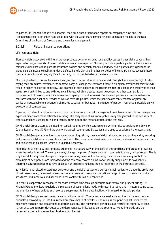

As part of OP Financial Group's risk analysis, the Compliance organisation reports on compliance risks and Risk Management reports on other risks associated with the Asset Management revenue generation models to the Risk Committee of the Board of Directors and the senior management.

#### 1.1.3.3 Risks of insurance operations

#### Life insurance risks

Biometric risks associated with life insurance products occur when death or disability causes higher claim payouts than expected or longer periods of pension disbursements than expected. Mortality and life expectancy affect a life insurance company's risk exposure in pure life insurance policies and pension policies. Longevity risk is particularly significant for group pension insurance policies under a defined benefit plan and in other portfolios of lifelong pensions, because these contracts do not contain any significant mortality risk to counterbalance the risk exposure.

The policyholders' customer behaviour may give rise to lapse risk and surrender risk. Policyholders have the right to stop paying their premiums, terminate the contract early, or change the contract if there is an option provided for this; this will result in higher risk for the company. One example of such options is the customer's right to change the profit type of their assets from unit-linked to one with technical interest, which increases interest expenses. Another example is the postponement of pension, which increases the longevity risk and lapse risk. Endowment policies and capital redemption contracts with the right of surrender as well as term life policies, which the policyholder can terminate anytime, are particularly susceptible to surrender risk related to customer behaviour. Surrender of pension insurance is possible only in exceptional circumstances.

Expense risk refers to a situation in which incurred insurance contract management, maintenance and claims management expenses differ from those estimated in rating. The early lapse of insurance policies may also jeopardise the accuracy of cost assumptions used for rating and thereby contribute to the materialisation of the cost risk.

OP Financial Group assesses the need for capital required by life insurance underwriting risks by applying the Solvency Capital Requirement (SCR) and the economic capital requirement. Stress tests are used to supplement the assessment.

OP Financial Group manages life insurance underwriting risks by means of strict risk selection and pricing and by ensuring that insurance liabilities are accurate and sufficient. The customer and risk selection policies are described in the customer and risk selection guidelines, which are updated frequently.

Risks related to mortality and longevity are priced in a secure way on the basis of the conditions and situation prevailing when the policy is issued. The company may change the prices of these long-term contracts to a very limited extent. This is why the risk for any later changes in the premium rating bases will be borne by the insurance company so that the premiums of new policies are increased and the company records an insurance liability supplement to sold policies. Offering insurance policies that have opposite risk exposures reduces the net risk of the entire insurance portfolio.

Early lapse risks related to customer behaviour and the risk of customers exercising their option to change the profit type of their assets to a guaranteed-interest model are managed through a competitive range of products, suitable product structures, and incentives and sanctions in the contract terms and conditions.

The central cooperative consolidated manages expense risks through adequate cost control and prudent pricing. OP Financial Group monitors regularly the realisation of assumptions made with regard to rating and, if necessary, increases the premiums of new policies and records a supplement to insurance liabilities with regard to the sold policies.

OP Financial Group also uses reinsurance to mitigate the risk. The reinsurance level is determined in the reinsurance principles approved by OP Life Assurance Company's board of directors. The reinsurance principles set limits for the maximum retention and catastrophe protection capacity. The reinsurance principles also restrict the authority to take reinsurance counterparty risk because the document sets limits based on the counterparty's rating grade and the reinsurance contract type (contract business, facultative).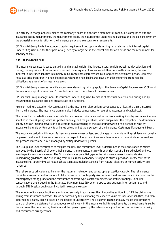

The actuary in charge annually makes the company's board of directors a statement of continuous compliance with the insurance liability requirements, the requirements set by the nature of the underwriting business and the opinions given by the actuarial analysis function on the insurance policy and reinsurance arrangements.

OP Financial Group limits the economic capital requirement tied up in underwriting risks relative to its internal capital. Underwriting risks are, for their part, also guided by a target set in the capital plan for own funds and the requirement for solvency capital.

#### Non-life insurance risks

The insurance business is based on taking and managing risks. The largest insurance risks pertain to risk selection and pricing, the acquisition of reinsurance cover and the adequacy of insurance liabilities. In non-life insurance, the risk inherent in insurance liabilities lies mainly in insurance lines characterised by a long claims settlement period. Biometric risks also arise from granting non-life policies where the non-life insurer pays annuities stemming from non-life obligations as a result of an insurance event.

OP Financial Group assesses non-life insurance underwriting risks by applying the Solvency Capital Requirement (SCR) and the economic capital requirement. Stress tests are used to supplement the assessment.

OP Financial Group manages non-life insurance underwriting risks by means of strict risk selection and pricing and by ensuring that insurance liabilities are accurate and sufficient.

Premium rating is based on risk correlation, i.e. the insurance risk premium corresponds to at least the claims incurred from the insurance. The insurance premium also includes components for operating expenses and capital cost.

The bases for risk selection (customer selection and related criteria, as well as decision-making limits by insurance line) are specified in the risk policy, which is updated annually, and the guidelines, which supplement the risk policy. The documents specify decision-making powers on a multistage basis according to the size of underwriting risk, as well as risks by insurance line underwritten only to a limited extent and at the discretion of the Insurance Customers Management Team.

The insurance periods within non-life insurance are one year or less, and changes in the underwriting risk level can usually be passed quickly onto insurance premiums. In respect of long-term insurance lines where risk inter-independence does not perhaps materialise, risk is managed by setting underwriting limits.

The Group also uses reinsurance to mitigate the risk. The reinsurance level is determined in the reinsurance principles approved by the Boards of Directors. Reinsurance is implemented mainly through risk-specific (insured object) and lossevent-specific reinsurance cover. The Group eliminates potential gaps in the reinsurance cover by using detailed underwriting guidelines. The risk arising from reinsurance availability is subject to strict supervision. Irrespective of the insurance line, large individual risks, such as claim accumulations arising from natural disasters or human activity, are reinsured*.*

The reinsurance principles set limits for the maximum retention and catastrophe protection capacity. The reinsurance principles also restrict authorisations to take reinsurance counterparty risk because the document sets limits based on the counterparty's rating grade and the reinsurance contract type (contract business, facultative, fronting). Local risk concentrations are included in the Estimated Maximum Loss (EML) for property and business interruption risks and through EML breakthrough cover included in reinsurance cover.

The amount of insurance liabilities is estimated securely in such a way that it would be sufficient to fulfil the obligations arising from insurance contracts. This is performed by first estimating the expected value for insurance liabilities, and then determining a safety loading based on the degree of uncertainty. The actuary in charge annually makes the company's board of directors a statement of continuous compliance with the insurance liability requirements, the requirements set by the nature of the underwriting business and the opinions given by the actuarial analysis function on the insurance policy and reinsurance arrangements.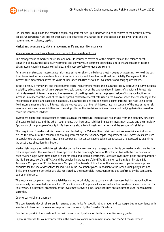

OP Financial Group limits the economic capital requirement tied up in underwriting risks relative to the Group's internal capital. Underwriting risks are, for their part, also restricted by a target set in the capital plan for own funds and the requirement for solvency capital.

#### Market and counterparty risk management in life and non-life insurance

#### Management of structural interest rate risk and other investment risks

The management of market risks in life and non-life insurance covers all of the market risks on the balance sheet, consisting of insurance liabilities, investments and derivatives. Investment operations aim to ensure customer income, obtain assets covering insurance liabilities, and invest profitably to generate returns.

An analysis of structural interest rate risk – interest rate risk on the balance sheet – begins by assessing how well the cash flows from fixed income investments and insurance liability match each other (Asset and Liability Management, ALM). Interest rate movements affect the value of insurance liabilities as well as investments and hedging derivatives.

In the Solvency II framework and the economic capital requirement model, the insurance liability discounting curve includes a volatility adjustment, which also exposes to credit spread risk on the balance sheet in terms of structural interest rate risk. A decrease in interest rates and the narrowing of credit spreads cause the present value of insurance liabilities to increase. In respect of the level of the credit spread related to interest rate risk on the balance sheet, the consistency of the risk profiles of assets and liabilities is essential. Insurance liabilities can be hedged against interest rate risks using direct fixed income investments and interest rate derivatives such that the net interest rate risk consists of the interest rate risk associated with insurance liabilities and the risk profiles of the fixed-income investments and hedging derivatives used to cover the insurance liabilities.

Investment operations take account of factors such as the structural interest rate risk arising from the cash flow structure of insurance liabilities, and the other requirements that insurance liabilities impose on investment assets and their liquidity. Application of the principle of equity in life insurance also affects investment targets and the amount of risk taken.

The magnitude of market risks is measured and limited by the Value at Risk metric and various sensitivity indicators, as well as the amount of the economic capital requirement and the solvency capital requirement (SCR). Stress tests are used to supplement the assessment. Insurance companies' risk concentrations within asset classes are assessed by examining the asset class allocation distribution.

Market risks associated with interest rate risk on the balance sheet are managed using limits on market and concentration risks as specified in the investment plans approved by the company's Board of Directors in line with the risk policies for each revenue logic. Asset class limits are set for liquid and illiquid investments. Separate investment plans are prepared for the life insurance portfolio (ETA 1) and the pension insurance portfolio (ETA 2) transferred from Suomi Mutual Life Assurance Company to OP Life Assurance Company. The boards of directors of the insurance companies also approve principles for the use of derivatives for inclusion in the investment plans. In addition to the Group's risk policy lines and limits, the investment portfolios are also restricted by the responsible investment principles confirmed by the companies' boards of directors.

The insurance companies' insurance liabilities do not, in principle, cause currency risks because their insurance liabilities are normally denominated in euros. For OP Life Assurance Company, all insurance liabilities are denominated in euros. For this reason, a substantial proportion of the investments covering insurance liabilities are allocated to euro-denominated securities.

#### Counterparty risk management

The counterparty risk of reinsurers is managed using limits for specific rating grades and counterparties in accordance with investment plans and the reinsurance principles confirmed by the Board of Directors.

Counterparty risk in the investment portfolio is restricted by allocation limits for specified rating grades.

Capital is reserved for counterparty risks in the economic capital requirement model and the SCR measurement.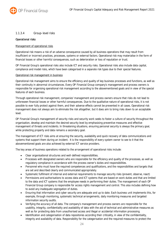

#### 1.1.3.4 Group-level risks

#### Operational risks

#### Management of operational risks

Operational risk means a risk of an adverse consequence caused by all business operations that may result from insufficient or incorrect practices, processes, systems or external factors. Operational risk may materialise in the form of financial losses or other harmful consequences, such as deterioration or loss of reputation or trust.

OP Financial Group's operational risks also include ICT and security risks. Operational risks also include data capital, compliance and model risks, which have been categorised in a separate risk types due to their special features.

#### Operational risk management in business

Operational risk management aims to ensure the efficiency and quality of key business processes and functions, as well as their continuity in abnormal circumstances. Every OP Financial Group company's management and process owners is responsible for organising operational risk management according to the abovementioned goals and in view of the special features of each business.

Through operational risk management, companies' management and process owners ensure that risks do not lead to unforeseen financial losses or other harmful consequences. Due to the qualitative nature of operational risks, it is not possible to ever fully protect against them, and their adverse effects cannot be prevented in all cases. Operational risk management does not always aim to eliminate the risk altogether, but it does aim to bring risks down to an acceptable level.

OP Financial Group's management of security risks and security work seeks to foster a culture of security throughout the organisation, develop and maintain the desired security level by emphasising preventive measures and effective management of threats and incidents. In threatening situations, ensuring personal security is always the primary goal, while protecting property and data remains a secondary goal.

The management of ICT risks aims at ensuring the security, availability and quick recovery of data communications and systems that support them during an incident. It is the responsibility of every system owner to see to it that the abovementioned goals are also achieved by external ICT service providers.

The key areas of business operations related to the arrangement of operational risks include:

- Clear organisational structures and well-defined responsibilities.
- Processes with designated owners who are responsible for the efficiency and quality of the processes, as well as regulatory compliance in accordance with the process owner's duties and responsibilities.
- Personnel who must have the required competences and qualifications, and the responsibilities and targets that are set and described clearly and communicated appropriately.
- Systematic fulfilment of internal and external requirements to manage security risks (prevent, observe, react)
- Permissions and authorisations to access data and ICT systems that are based on work duties and that are limited to the data and ICT systems that the employee needs in performing their duties. The management of each OP Financial Group company is responsible for access rights management and control. This also includes defining how to avoid any inadequate segregation of duties.
- Ensuring that information and cyber security are adequate and up to date. Each business unit implements this, for example, through monitoring, systematic technical arrangements, daily monitoring measures and targeted information security audits.
- Verifying the accuracy of all data. The company's management and process owners are responsible for the usability, integrity, confidentiality and availability of data with the aid of technical and administrative measures as well as for protecting data from unauthorised access and illegal or accidental information processing.
- Identification and categorisation of data repositories according their criticality, in view of the confidentiality, integrity and availability of data. Responsibility for the categorisation and the required measures to protect the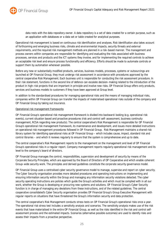

data rests with the data repository owner. A data repository is a set of data created for a certain purpose, such as an application with databases or a data set or table created for analytical purposes.

Operational risk management is based on continuous risk identification and analyses. Risk identification also takes account of forthcoming and emerging business risks, climate and environmental impacts, security threats and external requirements, and the required risk management methods are planned in a risk-based manner. The management and process owners within companies are responsible for identifying and evaluating the risks associated with business processes, services and products and the ICT systems they involve, and for implementing the required controls to achieve an acceptable risk level and ensure process functionality and efficiency. Efforts should be made to automate controls or support them by automation whenever possible.

Before any new or substantially modified products, services, business models, processes, systems or outsourcings are launched at OP Financial Group, they must undergo risk assessment in accordance with procedures approved by the central cooperative Risk Management. Each business unit is responsible for conducting the risk assessment procedure. In their risk statement, functions in the second line of defence can escalate decision-making related to the introduction of the product in high-risk projects that are important in principle and involve new risks. OP Financial Group offers only products, services and business models to customers if they have been approved at Group level.

In addition to the standardised procedures for managing operational risks and the means of managing individual risks, companies within OP Financial Group can transfer the impacts of materialised operational risks outside of the company and OP Financial Group by taking out insurance.

#### Operational risk management frameworks

OP Financial Group's operational risk management framework is divided into backward-looking (e.g. operational risk events), current situation based and proactive procedures (risk and control self-assessment, business continuity management, RCSA regarding new products). The central cooperative's Risk Management is responsible for OP Financial Group's operational risk management framework, its maintenance and development, and issues more detailed instructions on operational risk management procedures followed in OP Financial Group. Risk Management maintains a shared risk library system for identifying operational risks at OP Financial Group – which includes cause, impact, standard risk and control libraries – and which it reviews regularly to ensure that the system is comprehensive and up to date.

The central cooperative's Risk Management reports to the management on the management and level of OP Financial Group's operational risks in a regular report. Company management reports regularly operational risk management and its level to the company's board of directors.

OP Financial Group manages the control, responsibilities, supervision and development of security by means of the Corporate Security Principles, which are approved by the Board of Directors of OP Cooperative and which enable coherent Group-wide security work. The principles and derived guidelines constitute the corporate security governance model.

OP Financial Group uses a centralised cyber security governance model to manage, supervise and report on cyber security. The Cyber Security organisation provides more detailed procedures and operating instructions on implementing and ensuring information security within the Group and managing any information security violations detected. The cyber security operating instructions are policies which guide the Group's activities and which must be complied with in all our work, whether the Group is developing or procuring new systems and solutions. OP Financial Group's Cyber Security function is in charge of managing any deviations from these instructions, and of the related guidelines. The central cooperative consolidated's Cyber Security organisation provides OP Financial Group's Group Executive Management with regular reports on situations that have threatened the Group's information security and data protection.

The central cooperative's Risk Management conducts stress tests on OP Financial Group's operational risks once a year. The operational risk stress test includes a sensitivity analysis and scenarios. The sensitivity analysis makes use of the risk events that have materialised in the entire OP Financial Group, as well as the risks identified in the risk and control selfassessment process and the estimated impacts. Scenarios (alternative possible outcomes) are used to identify risks and assess their impacts from a proactive perspective.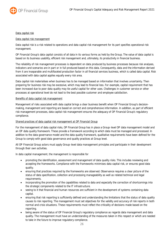

#### Data capital risk

#### Data capital risk management

Data capital risk is a risk related to operations and data capital risk management for its part specifies operational risk management.

OP Financial Group's data capital consists of all data in its various forms as held by the Group. The value of data capital is based on its business usability, efficient risk management and, ultimately, its productivity in financial business.

The reliability of risk management processes is dependent on data produced by business processes because risk analyses, indicators and scenarios are in part or in full produced based on this data. Consequently, data and the information derived from it are inseparable and multifaceted production factor in all financial services business, which is called data capital. Risk associated with data capital applies equally every risk area.

Data capital risk materialises when business has to be managed based on information that involves uncertainty. Then preparing for business risk may be excessive, which may lead to financial loss. For example, capital requirement that has been increased due to poor data quality may tie useful capital for other uses. Challenges in customer service or other processes at operational level do not lead to the best possible customer and employee satisfaction.

#### Benefits of data capital risk management

Management of risks associated with data capital brings a clear business benefit when OP Financial Group's decisionmaking, management and reporting are based on correct and comprehensive information. In addition, as part of efficient risk management processes, data capital risk management ensures the adequacy of OP Financial Group's regulatory compliance.

#### Shared practices of data capital risk management at OP Financial Group

For the management of data capital risks, OP Financial Group has in place a Group-level OP data management model and an OP data quality framework. These provide a framework according to which data must be managed and processed. In addition to the data governance model and the data quality framework, qualitative requirements have been defined for the Group to comply with good data governance and quality practices at Group level.

All OP Financial Group actors must apply Group-level data management principles and participate in their development through their own activities.

In data capital management, the management is responsible for

- promoting the identification, assessment and management of data quality risks. This includes reviewing and accepting the frameworks. Compliance with the frameworks minimises data capital risk, or ensures good data quality.
- ensuring that practices required by the frameworks are observed. Observance requires a clear picture of the status of data specification, collection and processing manageability as well as related technical and legal requirements.
- incorporating the promotion of the capabilities related to data and especially the correction of shortcomings into the strategic components related to the IT infrastructure.
- seeing to it that financial and human resources are sufficient in the development of systems containing data capital.
- ensuring that risk reporting is sufficiently defined and understanding the limitations that the status of data quality causes to risk reporting. The management must set objectives for the validity and accuracy of risk reports in both normal and crisis situations. These requirements must reflect the criticality of decisions made based on the reporting.
- being aware of the status of OP Financial Group's regulatory compliance as regards data management and data quality. The management must have an understanding of the measures taken in this respect or which are needed to take in the future to improve regulatory compliance.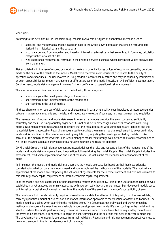

#### Model risks

According to the definition by OP Financial Group, models involve various types of quantitative methods such as

- statistical and mathematical models based on data in the Group's own possession that enable receiving data derived from historical data in the base data
- input data derived from modelling and based on internal or external data that are utilised in formulae, calculation, categorisation or a set of rules
- well-established mathematical formulae in the financial services business, whose parameter values are available from the market.

Risk associated with the use of models, or model risk, refers to potential losses or loss of reputation caused by decisions made on the basis of the results of the models. Model risk is therefore a consequential risk related to the quality of operations and capabilities. The risk involved in using models is operational in nature and may be caused by insufficient or unclear responsibilities for model management at different stages of the model lifecycle, or by insufficient documentation. On other hand, model risk management involves further specification of operational risk management.

The sources of model risks can be divided into the following three categories:

- shortcomings in the development stage of the models
- shortcomings in the implementation of the models and
- shortcomings in the use of models.

All these share common sources of risk, such as shortcomings in data or its quality, poor knowledge of interdependencies between mathematical methods and models, and inadequate knowledge of business, risk measurement and regulation.

The management of models and model risks seeks to ensure that models describe the event concerned sufficiently accurately and their use is appropriately organised. It is not possible to protect against all risks associated with using models. Risk management measures seek to ensure that the risks associated with using models are identified and the related risk level is acceptable. Regarding models used to calculate the minimum capital requirement to cover credit risk, model risk is quantified, in the manner required by regulation, by adjusting the results generated by models to take account of the margin of conservatism. The Group manages model risks through well-defined roles and responsibilities as well as by ensuring adequate knowledge of quantitative methods and resource allocation.

OP Financial Group's model risk management framework defines the roles and responsibilities of the management of the models and model risk management and the practices followed during the model lifecycle. The model lifecycle includes the development, production implementation and use of the model, as well as the maintenance and abandonment of the model.

To implement the models and model risk management, the models are classified based on their business criticality considering for what purpose the model is used and how established the methodology of the model is. The most critical applications of the models are risk pricing, the valuation of agreements for the income statement and risk measurement to calculate regulatory capital requirement or internal economic capital requirement.

That the models are well-established in their applications reduces their criticality. Risks of the use of models based on wellestablished market practices are mainly associated with how correctly they are implemented. Self-developed models based on internal data capital involve most risk vis-á-vis the modelling of the event and the model's susceptibility of error.

The development of models primarily requires internal historical data found to be of high quality from the needed data, correctly quantified amount of risk position and market information applicable to the valuation of assets and liabilities. The model should be applied when examining the modelled event. The Group uses generally used and proven modelling methods and models whenever they are available. Model development aims to identify shortcomings in the model and the situations where the model performs poorly. Insofar as the models cannot be implemented as required by the nature of the event to be described, it is necessary to depict the shortcomings and the solutions that seek to correct in modelling. The development of the models is segregated from their validation. Regulation and risk management perspectives must be taken into account in the further development of the model.

27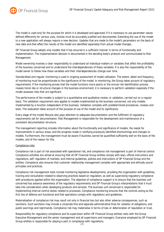

The model is used only for the purpose for which it is developed and approved. If it is necessary to use parameter values defined differently for various uses, choices must be accurately justified and documented. Extending the use of the model to a new application will always require a new decision. Updates that are made to the model's parameters on the basis of new data and that affect the results of the model are identified separately from actual model changes.

OP Financial Group adopts only models that it has ensured in a sufficient manner in terms of functionality and implementation. The implementation decision is documented in the deciding body's protocol and communicated to Risk Management.

Model ownership involves a clear responsibility to understand all individual matters or variables that affect the profitability of the business concerned and to understand the interdependencies of these variables. It is also the responsibility of the model owner to follow how these variables and their interdependencies change over time.

Standardised and regular monitoring is used in ongoing assessment of model utilisation. The extent, detail and frequency of monitoring must be proportionate to the significance of the model. In monitoring, the Group takes account of regulatory requirements. If the monitoring proves that the model functions more poorly or the annual risk identification process reveals trend-like or structural changes in the business environment, it is necessary to perform validation especially if the model assesses risks that are significant.

The performance of the models is subject to a quantitative and qualitative review, or validation, carried out on a regular basis. The validation requirement also applies to models implemented by the business concerned, not only models implemented by a function independent of the business. Validation complies with predetermined procedures, reviews and tests. The evaluation takes account of the purpose of use of the model and its significance.

Every stage of the model lifecycle also pays attention to adequate documentation and the fulfilment of regulatory requirements set for documentation. Risk Management is responsible for the development and maintenance of a consistent documentation structure.

The management reporting includes information about the functionality and significance of models, the needs for improvements in various areas, and the progress made in rectifying previously identified shortcomings and changes to models. Furthermore, the management must be aware if business cannot be quantified sufficiently well on the basis of the models, and of the reason for this.

#### Compliance risks

Compliance risk is part of risk associated with operational risk, and compliance risk management is part of internal control. Compliance activities are aimed at ensuring that all OP Financial Group entities comply with laws, official instructions and regulations, self-regulation of markets, and internal guidelines, policies and instructions of OP Financial Group and the entities. Compliance also ensures that customer relationship management complies with appropriate and ethically sound principles and practices.

Compliance risk management tools include monitoring legislative developments, providing the organisation with guidelines, training and consultation related to observing practices based on regulation, as well as supervising regulatory compliance with procedures applied within the organisation. The objective of compliance support is to ensure that the business unit concerned has advance awareness of the regulatory requirements and OP Financial Group's interpretations that it must take into consideration when developing products and services. The business unit concerned is responsible for implementing internal control duties related to processes. Compliance monitoring ensures that the controls acting as the first line of defence are functional and that operations comply with regulations and guidelines.

Materialisation of compliance risk may result not only in financial loss but also other adverse consequences, such as sanctions. Such sanctions may include a corporate fine and separate administrative fines for violation of obligations, and public warnings and reprimands. Compliance risk may materialise in terms of loss or deterioration of reputation or trust.

Responsibility for regulatory compliance and its supervision within OP Financial Group entities rests with the Group Executive Management and the senior management and all supervisors and managers. Everyone employed by OP Financial Group entities is responsible for playing a part in compliance with regulations.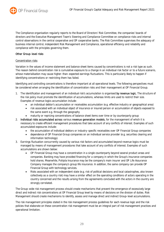

The Compliance organisation regularly reports to the Board of Directors' Risk Committee, the companies' boards of directors and the Executive Management Team's Steering and Compliance Committee on compliance risks and internal control observations in the central cooperative and OP cooperative banks. The Risk Committee supervises the adequacy of business internal control, independent Risk Management and Compliance, operational efficiency and reliability and compliance with the principles governing them.

#### Other Group-level risks

#### Concentration risks

Variation in the values of income statement and balance sheet items caused by concentrations is not a risk type as such. The reason behind concentration risk is cumulative exposure to a change in an individual risk factor or to a future scenario, whose materialisation may cause higher-than-expected earnings fluctuations. This is particularly likely to happen if identifying concentrations or restricting them has failed.

Identifying and controlling concentrations is therefore important at all operational levels. The following perspectives must be considered when arranging the identification of concentration risks and their management at OP Financial Group.

- 1. The identification and management of an individual risk's accumulation is organised by revenue logic. The structure of the risk policy must promote the identification of accumulations, whereas limits are used to restrict their size. Examples of revenue logics accumulation include:
	- an individual debtor's accumulation or receivables accumulation (e.g. effective industry or geographical area)
	- risk associated with an individual object of insurance or insured person or accumulation of objects exposed to the same event e.g. through the geography
	- maturity or repricing concentrations of balance sheet items over time or by counterparty group
- 2. Individual risks accumulated across various revenue generation models, for the management of which it is necessary to create efficient management procedures that take account of any conflicts of interest. Examples of such accumulated exposures include:
	- the accumulation of individual debtors or industry-specific receivables over OP Financial Group companies
	- dependence of OP Financial Group companies on an individual service provider (e.g. securities clearing and information technology).
- 3. Earnings fluctuation concurrently caused by various risk factors and accumulated beyond revenue logics must be managed by means of management procedures that take account of any conflicts of interest. Examples of such accumulations are shown below:
	- OP Financial Group may have a concentration in a single counterparty beyond several product areas and companies. Banking may have provided financing for a company in which the Group's insurance companies hold shares. Meanwhile, Pohjola Insurance may be the company's main insurer and OP Life Assurance Company manages the company's group life insurance. In addition, the same company can provide OP Financial Group with technology services.
	- Risks associated with an independent state (e.g. risk of political decisions and local catastrophes, also known collectively as a country risk) may have a similar effect on the operating conditions of actors operating in the country concerned and the results arising from the agreements concluded with the actors in the country are strongly correlated.

The Group-wide risk management process should create mechanisms that prevent the emergence of excessively large direct and indirect risk concentrations at OP Financial Group level by means of decisions on the division of duties. Risk Management should create mechanisms to identify, assess and manage direct and indirect Group-level accumulations.

The risk management principles stated in the risk management process guidelines for each revenue logic and the risk policies that elaborate on these concentration risk management must be an integral part of risk management practices and operational limitation.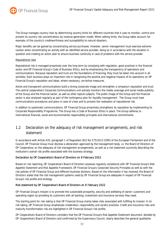

The Group manages country risks by determining country limits for different countries that it uses to monitor, control and prevent its country risk concentrations by revenue generation model. When setting limits, the Group takes account, for example, of the country's creditworthiness and susceptibility to natural disasters.

Major benefits can be gained by concentrating service purchases. However, senior management must exercise extreme caution when concentrating an activity with an identified service provider, doing so in accordance with the situation in question and creating an action plan to ensure business continuity in case of problems with the service provider.

#### Reputational risks

Reputational risk is managed proactively over the long term by complying with regulation, good practices in the financial sector and OP Financial Group's Code of Business Ethics, and by emphasising the transparency of operations and communications. Because reputation and trust are the foundations of financing, they must be taken into account in all activities. Each business plays an important role in recognising the positive and negative impacts of its operations on OP Financial Group's reputation and takes, where necessary, corrective measures.

Active and transparent communications build a strong corporate image and strengthen a company's reputation and trust. The central cooperative's Corporate Communications unit actively monitors the media coverage and social media publicity of the Group and the financial sector, as well as other topical subjects. The public image of the Group and the financial sector is also analysed regularly as part of the contingency plan for liquidity management. The Group must have communications procedures and plans in case of crises and to prevent the realisation of reputational risk.

In addition to systematic communications, OP Financial Group proactively strengthens its reputation by implementing its Corporate Responsibility Programme. The Group has a Code of Business Ethics in place. The Group adheres to international financial, social and environmental responsibility principles and international commitments.

## 1.2 Declaration on the adequacy of risk management arrangements, and risk statement

In accordance with Article 435, paragraph 1 of Regulation (EU) No 575/2013 (CRR) of the European Parliament and of the Council, OP Financial Group must disclose a declaration approved by the management body, i.e. the Board of Directors of OP Cooperative, on the adequacy of risk management arrangements, as well as a risk statement succinctly describing the institution's overall risk profile associated with the business strategy.

#### Declaration by OP Cooperative's Board of Directors on 8 February 2022

Based on risk reporting, OP Cooperative's Board of Directors assesses regularly compliance with OP Financial Group's Risk Appetite Statement and Risk Appetite Framework, OP Financial Group's Corporate Security Principles as well as with the risk policies of OP Financial Group and different business divisions. Based on the information it has received, the Board of Directors states that the risk management systems used by OP Financial Group are adequate in respect of OP Financial Group's risk profile and strategy.

#### Risk statement by OP Cooperative's Board of Directors on 8 February 2022

OP Financial Group's mission is to promote the sustainable prosperity, security and wellbeing of owner-customers and operating region by providing its customers with all banking, investment and insurance services they need.

The starting point for risk-taking is that OP Financial Group mainly takes risks associated with fulfilling its mission. In its risk taking, OP Financial Group emphasises moderation, responsibility and careful practices. Credit and insurance risks and maturity transformation risk are highlighted in OP Financial Group's risk profile.

OP Cooperative's Board of Directors considers that the OP Financial Group's Risk Appetite Statement document, decided by OP Cooperative's Board of Directors and confirmed by the Supervisory Council, clearly describes the general qualitative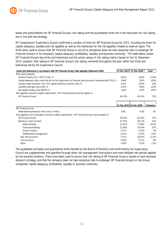

bases and preconditions for OP Financial Group's risk-taking and the quantitative limits set in the document for risk-taking are in line with the strategy.

OP Cooperative's Supervisory Council confirmed a number of limits for OP Financial Group for 2021, including the limits for capital adequacy, liquidity and risk appetite as well as the tolerances for the risk appetite related to revenue logics. The limits were used to ensure that OP Financial Group or any of its companies does not take excessive risks to endanger OP Financial Group's or its company's capital adequacy, profitability, liquidity and business continuity. The table below shows OP Financial Group's key limits and tolerances and the actual values of risk-taking metrics based on the 31 December 2021 situation. Risk-taking in OP Financial Group's risk-taking remained throughout the year within the limits and tolerances set by the Supervisory Council.

| Limits and tolerances in accordance with OP Financial Group's Risk Appetite Statement (RAS)                | 31 Dec 2021 | 31 Dec 2020             | Limit     |
|------------------------------------------------------------------------------------------------------------|-------------|-------------------------|-----------|
| Risk-taking capacity                                                                                       |             |                         |           |
| Common Equity Tier 1 (CET1) ratio, %                                                                       | 18.2%       | 18.9%                   | 13.0%     |
| Capital adequacy ratio under the Act on the Supervision of Financial and Insurance Conglomerates (FiCo), % | 146%        | 150%                    | 105%      |
| Largest single customer risk / FiCo capital covering customer risks, %                                     | 4.6%        | 4.04%                   | 10%       |
| Liquidity coverage ratio (LCR), %                                                                          | 212%        | 196%                    | 120%      |
| Net stable funding ratio (NSFR), %                                                                         | 130%        | 123%                    | 105%      |
| Risk appetite: economic capital requirement / OP Financial Group internal capital, %                       |             |                         |           |
| OP Financial Group                                                                                         | 36.53%      | 45.54%                  | 75%       |
|                                                                                                            |             |                         |           |
|                                                                                                            |             |                         |           |
|                                                                                                            |             | 31 Dec 2021 31 Dec 2020 | Tolerance |
| OP Financial Group                                                                                         |             |                         |           |
| Materialised operational risks (net), $\epsilon$ million                                                   | 8.88        | 6.58                    | 50        |
| Risk appetite and its allocation: economic capital requirement / OP Financial Group internal capital, %    |             |                         |           |
| OP Financial Group                                                                                         | 36.53%      | 45.54%                  | 75%       |
| Banking in total, of which                                                                                 | 27.15%      | 39.11%                  | 53%       |
| Retail Banking                                                                                             | 12.91%      | 17.66%                  | 22.5%     |
| Corporate Banking                                                                                          | 11.36%      | 18.19%                  | 25%       |
| Group Treasury                                                                                             | 2.57%       | 3.03%                   | 5%        |
| Wealth/asset management                                                                                    | 0.31%       | 0.23%                   | 0.5%      |
| Non-life insurance                                                                                         | 7.57%       | 10.87%                  | 12.5%     |
| Life insurance                                                                                             | 4.55%       | 6.27%                   | 8%        |
| Other                                                                                                      | 1.05%       | 1.03%                   | 1.5%      |

The qualitative principles and quantitative limits decided by the Board of Directors and confirmed by the Supervisory Council are supplemented and specified through other risk management instructions and more detailed risk policies applied by the business divisions. These have been used to ensure that risk-taking at OP Financial Group is based on each business division's strategy, and that the company does not take excessive risks to endanger OP Financial Group's or the Group companies' capital adequacy, profitability, liquidity or business continuity.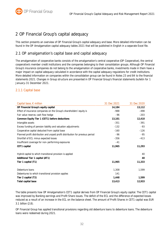# 2 OP Financial Group's capital adequacy

This section presents an overview of OP Financial Group's capital adequacy and base. More detailed information can be found in the OP Amalgamation capital adequacy tables 2021 that will be published in English in a separate Excel file.

## 2.1 OP amalgamation's capital base and capital adequacy

The amalgamation of cooperative banks consists of the amalgamation's central cooperative (OP Cooperative), the central cooperative's member credit institutions and the companies belonging to their consolidation groups. Although OP Financial Group's insurance companies do not belong to the amalgamation of cooperative banks, investments made in them have a major impact on capital adequacy calculated in accordance with the capital adequacy regulations for credit institutions. More detailed information on companies within the consolidation group can be found in Notes 23 and 84 to the financial statements 2021. Changes in Group structure are presented in OP Financial Group's financial statements bulletin for 1 January–31 December 2021.

## 2.1.1 Capital base

| Capital base, $\epsilon$ million                                               | 31 Dec 2021 | 31 Dec 2020 |
|--------------------------------------------------------------------------------|-------------|-------------|
| OP Financial Group's equity capital                                            | 14,184      | 13,112      |
| Effect of insurance companies on the Group's shareholders' equity is           | $-988$      | -498        |
| Fair value reserve, cash flow hedge                                            | -96         | $-203$      |
| Common Equity Tier 1 (CET1) before deductions                                  | 13,101      | 12,410      |
| Intangible assets                                                              | $-351$      | $-391$      |
| Excess funding of pension liability and valuation adjustments                  | $-132$      | $-93$       |
| Cooperative capital deducted from capital base                                 | $-160$      | $-126$      |
| Planned profit distribution and unpaid profit distribution for previous period | -96         | -95         |
| Shortfall of ECL minus expected losses                                         | $-356$      | $-413$      |
| Insufficient coverage for non-performing exposures                             | $-41$       |             |
| CET1 capital                                                                   | 11,965      | 11,293      |
|                                                                                |             |             |
| Hybrid capital to which transitional provision is applied                      |             | 40          |
| Additional Tier 1 capital (AT1)                                                |             | 40          |
| Tier 1 capital (T1)                                                            | 11,965      | 11,333      |
| Debenture loans                                                                | 1,308       | 1,599       |
| Debentures to which transitional provision applies                             | 141         |             |
| Tier 2 capital (T2)                                                            | 1,448       | 1,599       |
| Total capital base                                                             | 13,413      | 12,933      |

The table presents how OP Amalgamation's CET1 capital derives from OP Financial Group's equity capital. The CET1 capital was improved by Banking earnings and Profit Share issues. The deficit of the ECL and the difference of expected losses reduced as a result of an increase in the ECL on the balance sheet. The amount of Profit Shares in CET1 capital was EUR 3.1 billion (2.8).

OP Financial Group has applied transitional provisions regarding old debenture loans to debenture loans. The debenture loans were redeemed during 2021.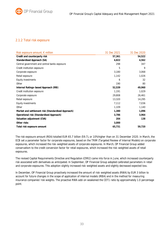## 2.1.2 Total risk exposure

| Risk exposure amount, $\epsilon$ million           | 31 Dec 2021 | 31 Dec 2020 |
|----------------------------------------------------|-------------|-------------|
| Credit and counterparty risk                       | 57,361      | 54,522      |
| Standardised Approach (SA)                         | 4,822       | 4,562       |
| Central government and central banks exposure      | 298         | 347         |
| Credit institution exposure                        | 5           | 9           |
| Corporate exposure                                 | 3,180       | 3,068       |
| Retail exposure                                    | 1,142       | 1,026       |
| Equity investments                                 | 6           | 32          |
| Other                                              | 190         | 80          |
| Internal Ratings-based Approach (IRB)              | 52,539      | 49,960      |
| Credit institution exposure                        | 1,191       | 1,029       |
| Corporate exposure                                 | 29,808      | 26,461      |
| Retail exposure                                    | 13,320      | 14,295      |
| Equity investments                                 | 7,112       | 7,036       |
| Other                                              | 1,109       | 1,140       |
| Market and settlement risk (Standardised Approach) | 1,380       | 1,096       |
| Operational risk (Standardised Approach)           | 3,786       | 3,964       |
| Valuation adjustment (CVA)                         | 204         | 138         |
| Other risks                                        | 3,000       |             |
| Total risk exposure amount                         | 65,731      | 59,720      |

The risk exposure amount (REA) totalled EUR 65.7 billion (59.7), or 10% higher than on 31 December 2020. In March, the ECB set a parameter factor for corporate exposures, based on the TRIM (Targeted Review of Internal Models) on corporate exposures, which increased the risk-weighted assets of corporate exposures. In March, OP Financial Group added conservatism to the credit conversion factor for retail exposures, which increased the risk-weighted assets of retail exposures.

The revised Capital Requirements Directive and Regulation (CRR2) came into force in June, which increased counterparty risk associated with derivatives as anticipated. In September, OP Financial Group adopted calibrated parameters in retail and corporate exposures. This adoption slightly increased risk-weighted assets and slightly decreased expected loss.

In December, OP Financial Group proactively increased the amount of risk-weighted assets (RWA) by EUR 3 billion to account for future changes in the scope of application of internal models (IRBA) and in the method for measuring insurance companies' risk weights. The proactive RWA add-on weakened the CET1 ratio by approximately 1.0 percentage point.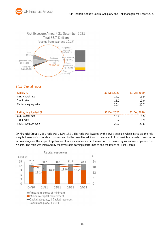



## 2.1.3 Capital ratios

| Ratios, %               | 31 Dec 2021 | 31 Dec 2020 |
|-------------------------|-------------|-------------|
| CET1 capital ratio      | 18.2        | 18.9        |
| Tier 1 ratio            | 18.2        | 19.0        |
| Capital adequacy ratio  | 20.4        | 21.7        |
|                         |             |             |
| Ratios, fully loaded, % | 31 Dec 2021 | 31 Dec 2020 |
| CET1 capital ratio      | 18.2        | 18.9        |
| Tier 1 ratio            | 18.2        | 18.9        |
| Capital adequacy ratio  | 20.2        | 21 6        |

OP Financial Group's CET1 ratio was 18.2% (18.9). The ratio was lowered by the ECB's decision, which increased the riskweighted assets of corporate exposures, and by the proactive addition to the amount of risk-weighted assets to account for future changes in the scope of application of internal models and in the method for measuring insurance companies' risk weights. The ratio was improved by the favourable earnings performance and the issues of Profit Shares.



## 34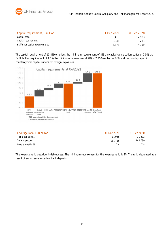

| Capital requirement, $\epsilon$ million | 31 Dec 2021 | 31 Dec 2020 |
|-----------------------------------------|-------------|-------------|
| Capital base                            | 13.413      | 12.933      |
| Capital requirement                     | 9.041       | 8.213       |
| Buffer for capital requirements         | 4.373       | 4.719       |

The capital requirement of 13.8% comprises the minimum requirement of 8%, the capital conservation buffer of 2.5%, the O-SII buffer requirement of 1.0%, the minimum requirement (P2R) of 2.25% set by the ECB and the country-specific countercyclical capital buffers for foreign exposures.



| Leverage ratio, EUR million | 31 Dec 2021 | 31 Dec 2020 |
|-----------------------------|-------------|-------------|
| Tier 1 capital (T1)         | 11.965      | 11,333      |
| Total exposure              | 161.415     | 144.799     |
| Leverage ratio, %           | 7 A         |             |

The leverage ratio describes indebtedness. The minimum requirement for the leverage ratio is 3%. The ratio decreased as a result of an increase in central bank deposits.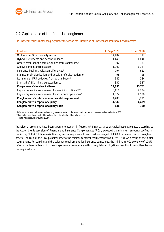# 2.2 Capital base of the financial conglomerate

OP Financial Group's capital adequacy under the Act on the Supervision of Financial and Insurance Conglomerates

| $\epsilon$ million                                             | 30 Sep 2021 | 31 Dec 2020 |
|----------------------------------------------------------------|-------------|-------------|
| OP Financial Group's equity capital                            | 14,184      | 13,112      |
| Hybrid instruments and debenture loans                         | 1,448       | 1,640       |
| Other sector-specific items excluded from capital base         | $-392$      | $-331$      |
| Goodwill and intangible assets                                 | $-1,097$    | $-1,147$    |
| Insurance business valuation differences*                      | 794         | 623         |
| Planned profit distribution and unpaid profit distribution for | -96         | $-95$       |
| Items under IFRS deducted from capital base**                  | $-181$      | $-184$      |
| Shortfall of ECL minus expected losses                         | $-330$      | $-387$      |
| Conglomerate's total capital base                              | 14,331      | 13,231      |
| Regulatory capital requirement for credit institutions***      | 8,111       | 7,284       |
| Regulatory capital requirement for insurance operations*       | 1,672       | 1,508       |
| Conglomerate's total minimum capital requirement               | 9,783       | 8,791       |
| Conglomerate's capital adequacy                                | 4,547       | 4,439       |
| Conglomerate's capital adequacy ratio                          | 146         | 150         |

\* Differences between fair values and carrying amounts based on the solvency of insurance companies and an estimate of SCR

\*\* Excess funding of pension liability, portion of cash flow hedge of fair value reserve

\*\*\* Total risk exposure amount x 13.8%

Transitional provisions have been taken into account in figures. OP Financial Group's capital base, calculated according to the Act on the Supervision of Financial and Insurance Conglomerates (FiCo), exceeded the minimum amount specified in the Act by EUR 4.5 billion (4.4). Banking capital requirement remained unchanged at 13.8%, calculated on risk-weighted assets. The ratio of the Group capital base to the minimum capital requirement was 146% (150). As a result of the buffer requirements for banking and the solvency requirements for insurance companies, the minimum FiCo solvency of 100% reflects the level within which the conglomerate can operate without regulatory obligations resulting from buffers below the required level.